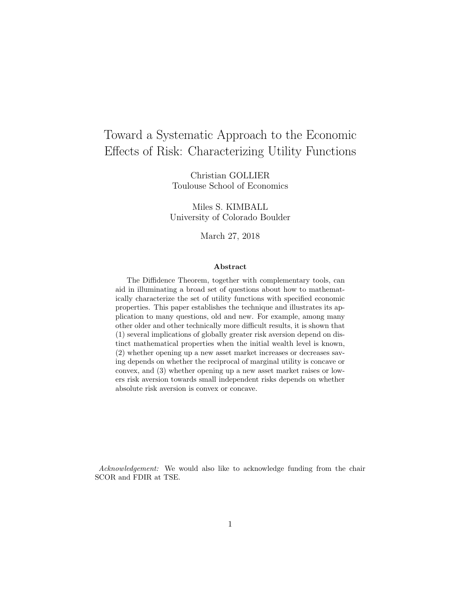# Toward a Systematic Approach to the Economic Effects of Risk: Characterizing Utility Functions

Christian GOLLIER Toulouse School of Economics

Miles S. KIMBALL University of Colorado Boulder

March 27, 2018

#### Abstract

The Diffidence Theorem, together with complementary tools, can aid in illuminating a broad set of questions about how to mathematically characterize the set of utility functions with specified economic properties. This paper establishes the technique and illustrates its application to many questions, old and new. For example, among many other older and other technically more difficult results, it is shown that (1) several implications of globally greater risk aversion depend on distinct mathematical properties when the initial wealth level is known, (2) whether opening up a new asset market increases or decreases saving depends on whether the reciprocal of marginal utility is concave or convex, and (3) whether opening up a new asset market raises or lowers risk aversion towards small independent risks depends on whether absolute risk aversion is convex or concave.

Acknowledgement: We would also like to acknowledge funding from the chair SCOR and FDIR at TSE.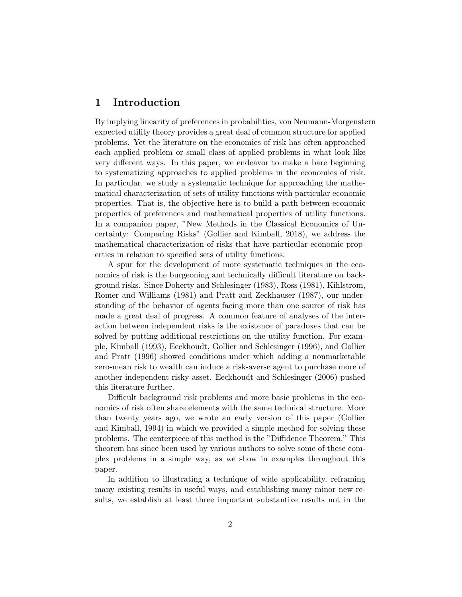# 1 Introduction

By implying linearity of preferences in probabilities, von Neumann-Morgenstern expected utility theory provides a great deal of common structure for applied problems. Yet the literature on the economics of risk has often approached each applied problem or small class of applied problems in what look like very different ways. In this paper, we endeavor to make a bare beginning to systematizing approaches to applied problems in the economics of risk. In particular, we study a systematic technique for approaching the mathematical characterization of sets of utility functions with particular economic properties. That is, the objective here is to build a path between economic properties of preferences and mathematical properties of utility functions. In a companion paper, "New Methods in the Classical Economics of Uncertainty: Comparing Risks" (Gollier and Kimball, 2018), we address the mathematical characterization of risks that have particular economic properties in relation to specified sets of utility functions.

A spur for the development of more systematic techniques in the economics of risk is the burgeoning and technically difficult literature on background risks. Since Doherty and Schlesinger (1983), Ross (1981), Kihlstrom, Romer and Williams (1981) and Pratt and Zeckhauser (1987), our understanding of the behavior of agents facing more than one source of risk has made a great deal of progress. A common feature of analyses of the interaction between independent risks is the existence of paradoxes that can be solved by putting additional restrictions on the utility function. For example, Kimball (1993), Eeckhoudt, Gollier and Schlesinger (1996), and Gollier and Pratt (1996) showed conditions under which adding a nonmarketable zero-mean risk to wealth can induce a risk-averse agent to purchase more of another independent risky asset. Eeckhoudt and Schlesinger (2006) pushed this literature further.

Difficult background risk problems and more basic problems in the economics of risk often share elements with the same technical structure. More than twenty years ago, we wrote an early version of this paper (Gollier and Kimball, 1994) in which we provided a simple method for solving these problems. The centerpiece of this method is the "Diffidence Theorem." This theorem has since been used by various authors to solve some of these complex problems in a simple way, as we show in examples throughout this paper.

In addition to illustrating a technique of wide applicability, reframing many existing results in useful ways, and establishing many minor new results, we establish at least three important substantive results not in the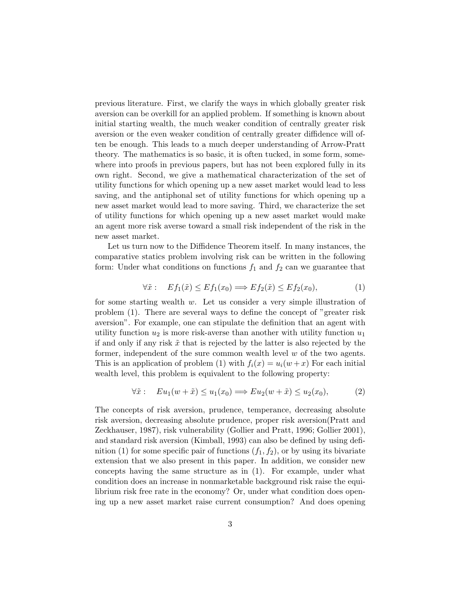previous literature. First, we clarify the ways in which globally greater risk aversion can be overkill for an applied problem. If something is known about initial starting wealth, the much weaker condition of centrally greater risk aversion or the even weaker condition of centrally greater diffidence will often be enough. This leads to a much deeper understanding of Arrow-Pratt theory. The mathematics is so basic, it is often tucked, in some form, somewhere into proofs in previous papers, but has not been explored fully in its own right. Second, we give a mathematical characterization of the set of utility functions for which opening up a new asset market would lead to less saving, and the antiphonal set of utility functions for which opening up a new asset market would lead to more saving. Third, we characterize the set of utility functions for which opening up a new asset market would make an agent more risk averse toward a small risk independent of the risk in the new asset market.

Let us turn now to the Diffidence Theorem itself. In many instances, the comparative statics problem involving risk can be written in the following form: Under what conditions on functions  $f_1$  and  $f_2$  can we guarantee that

$$
\forall \tilde{x}: \quad Ef_1(\tilde{x}) \le Ef_1(x_0) \Longrightarrow Ef_2(\tilde{x}) \le Ef_2(x_0), \tag{1}
$$

for some starting wealth w. Let us consider a very simple illustration of problem (1). There are several ways to define the concept of "greater risk aversion". For example, one can stipulate the definition that an agent with utility function  $u_2$  is more risk-averse than another with utility function  $u_1$ if and only if any risk  $\tilde{x}$  that is rejected by the latter is also rejected by the former, independent of the sure common wealth level  $w$  of the two agents. This is an application of problem (1) with  $f_i(x) = u_i(w + x)$  For each initial wealth level, this problem is equivalent to the following property:

$$
\forall \tilde{x}: \quad Eu_1(w + \tilde{x}) \le u_1(x_0) \Longrightarrow Eu_2(w + \tilde{x}) \le u_2(x_0), \tag{2}
$$

The concepts of risk aversion, prudence, temperance, decreasing absolute risk aversion, decreasing absolute prudence, proper risk aversion(Pratt and Zeckhauser, 1987), risk vulnerability (Gollier and Pratt, 1996; Gollier 2001), and standard risk aversion (Kimball, 1993) can also be defined by using definition (1) for some specific pair of functions  $(f_1, f_2)$ , or by using its bivariate extension that we also present in this paper. In addition, we consider new concepts having the same structure as in (1). For example, under what condition does an increase in nonmarketable background risk raise the equilibrium risk free rate in the economy? Or, under what condition does opening up a new asset market raise current consumption? And does opening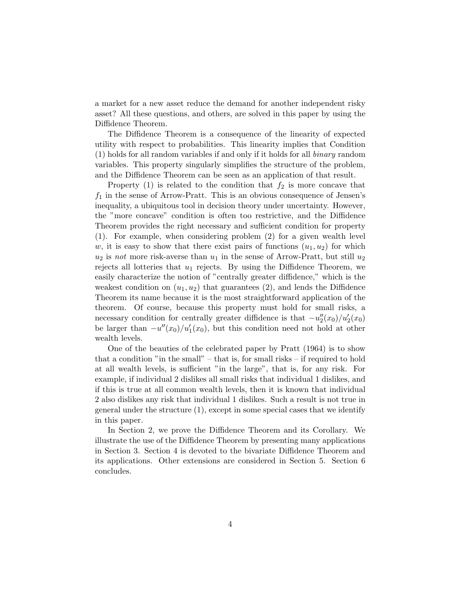a market for a new asset reduce the demand for another independent risky asset? All these questions, and others, are solved in this paper by using the Diffidence Theorem.

The Diffidence Theorem is a consequence of the linearity of expected utility with respect to probabilities. This linearity implies that Condition (1) holds for all random variables if and only if it holds for all binary random variables. This property singularly simplifies the structure of the problem, and the Diffidence Theorem can be seen as an application of that result.

Property (1) is related to the condition that  $f_2$  is more concave that  $f_1$  in the sense of Arrow-Pratt. This is an obvious consequence of Jensen's inequality, a ubiquitous tool in decision theory under uncertainty. However, the "more concave" condition is often too restrictive, and the Diffidence Theorem provides the right necessary and sufficient condition for property (1). For example, when considering problem (2) for a given wealth level w, it is easy to show that there exist pairs of functions  $(u_1, u_2)$  for which  $u_2$  is not more risk-averse than  $u_1$  in the sense of Arrow-Pratt, but still  $u_2$ rejects all lotteries that  $u_1$  rejects. By using the Diffidence Theorem, we easily characterize the notion of "centrally greater diffidence," which is the weakest condition on  $(u_1, u_2)$  that guarantees (2), and lends the Diffidence Theorem its name because it is the most straightforward application of the theorem. Of course, because this property must hold for small risks, a necessary condition for centrally greater diffidence is that  $-u''_2(x_0)/u'_2(x_0)$ be larger than  $-u''(x_0)/u'_1(x_0)$ , but this condition need not hold at other wealth levels.

One of the beauties of the celebrated paper by Pratt (1964) is to show that a condition "in the small" – that is, for small risks – if required to hold at all wealth levels, is sufficient "in the large", that is, for any risk. For example, if individual 2 dislikes all small risks that individual 1 dislikes, and if this is true at all common wealth levels, then it is known that individual 2 also dislikes any risk that individual 1 dislikes. Such a result is not true in general under the structure (1), except in some special cases that we identify in this paper.

In Section 2, we prove the Diffidence Theorem and its Corollary. We illustrate the use of the Diffidence Theorem by presenting many applications in Section 3. Section 4 is devoted to the bivariate Diffidence Theorem and its applications. Other extensions are considered in Section 5. Section 6 concludes.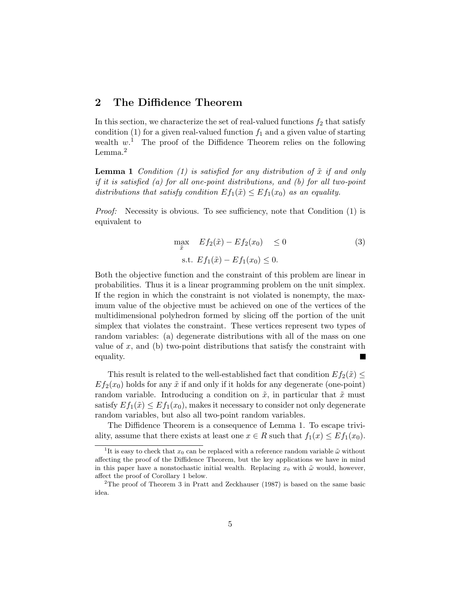# 2 The Diffidence Theorem

In this section, we characterize the set of real-valued functions  $f_2$  that satisfy condition (1) for a given real-valued function  $f_1$  and a given value of starting wealth  $w<sup>1</sup>$ . The proof of the Diffidence Theorem relies on the following Lemma.<sup>2</sup>

**Lemma 1** Condition (1) is satisfied for any distribution of  $\tilde{x}$  if and only if it is satisfied (a) for all one-point distributions, and (b) for all two-point distributions that satisfy condition  $Ef_1(\tilde{x}) \leq Ef_1(x_0)$  as an equality.

Proof: Necessity is obvious. To see sufficiency, note that Condition (1) is equivalent to

$$
\max_{\tilde{x}} \quad Ef_2(\tilde{x}) - Ef_2(x_0) \le 0
$$
\n
$$
\text{s.t. } Ef_1(\tilde{x}) - Ef_1(x_0) \le 0.
$$
\n
$$
(3)
$$

Both the objective function and the constraint of this problem are linear in probabilities. Thus it is a linear programming problem on the unit simplex. If the region in which the constraint is not violated is nonempty, the maximum value of the objective must be achieved on one of the vertices of the multidimensional polyhedron formed by slicing off the portion of the unit simplex that violates the constraint. These vertices represent two types of random variables: (a) degenerate distributions with all of the mass on one value of  $x$ , and (b) two-point distributions that satisfy the constraint with equality.

This result is related to the well-established fact that condition  $Ef_2(\tilde{x}) \leq$  $Ef_2(x_0)$  holds for any  $\tilde{x}$  if and only if it holds for any degenerate (one-point) random variable. Introducing a condition on  $\tilde{x}$ , in particular that  $\tilde{x}$  must satisfy  $Ef_1(\tilde{x}) \le Ef_1(x_0)$ , makes it necessary to consider not only degenerate random variables, but also all two-point random variables.

The Diffidence Theorem is a consequence of Lemma 1. To escape triviality, assume that there exists at least one  $x \in R$  such that  $f_1(x) \leq Ef_1(x_0)$ .

<sup>&</sup>lt;sup>1</sup>It is easy to check that  $x_0$  can be replaced with a reference random variable  $\tilde{\omega}$  without affecting the proof of the Diffidence Theorem, but the key applications we have in mind in this paper have a nonstochastic initial wealth. Replacing  $x_0$  with  $\tilde{\omega}$  would, however, affect the proof of Corollary 1 below.

<sup>&</sup>lt;sup>2</sup>The proof of Theorem 3 in Pratt and Zeckhauser (1987) is based on the same basic idea.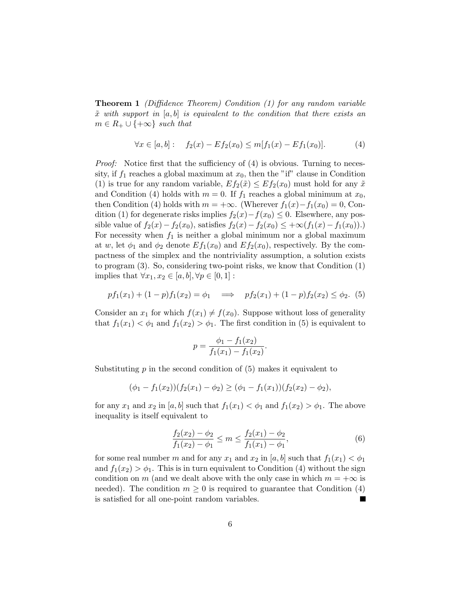**Theorem 1** (Diffidence Theorem) Condition  $(1)$  for any random variable  $\tilde{x}$  with support in [a, b] is equivalent to the condition that there exists an  $m \in R_+ \cup \{+\infty\}$  such that

$$
\forall x \in [a, b]: \quad f_2(x) - Ef_2(x_0) \le m[f_1(x) - Ef_1(x_0)]. \tag{4}
$$

*Proof:* Notice first that the sufficiency of  $(4)$  is obvious. Turning to necessity, if  $f_1$  reaches a global maximum at  $x_0$ , then the "if" clause in Condition (1) is true for any random variable,  $Ef_2(\tilde{x}) \le Ef_2(x_0)$  must hold for any  $\tilde{x}$ and Condition (4) holds with  $m = 0$ . If  $f_1$  reaches a global minimum at  $x_0$ , then Condition (4) holds with  $m = +\infty$ . (Wherever  $f_1(x) - f_1(x_0) = 0$ , Condition (1) for degenerate risks implies  $f_2(x) - f(x_0) \leq 0$ . Elsewhere, any possible value of  $f_2(x) - f_2(x_0)$ , satisfies  $f_2(x) - f_2(x_0) \leq +\infty(f_1(x) - f_1(x_0))$ . For necessity when  $f_1$  is neither a global minimum nor a global maximum at w, let  $\phi_1$  and  $\phi_2$  denote  $Ef_1(x_0)$  and  $Ef_2(x_0)$ , respectively. By the compactness of the simplex and the nontriviality assumption, a solution exists to program (3). So, considering two-point risks, we know that Condition (1) implies that  $\forall x_1, x_2 \in [a, b], \forall p \in [0, 1]:$ 

$$
pf_1(x_1) + (1-p)f_1(x_2) = \phi_1 \implies pf_2(x_1) + (1-p)f_2(x_2) \le \phi_2. (5)
$$

Consider an  $x_1$  for which  $f(x_1) \neq f(x_0)$ . Suppose without loss of generality that  $f_1(x_1) < \phi_1$  and  $f_1(x_2) > \phi_1$ . The first condition in (5) is equivalent to

$$
p = \frac{\phi_1 - f_1(x_2)}{f_1(x_1) - f_1(x_2)}.
$$

Substituting  $p$  in the second condition of  $(5)$  makes it equivalent to

$$
(\phi_1 - f_1(x_2))(f_2(x_1) - \phi_2) \ge (\phi_1 - f_1(x_1))(f_2(x_2) - \phi_2),
$$

for any  $x_1$  and  $x_2$  in [a, b] such that  $f_1(x_1) < \phi_1$  and  $f_1(x_2) > \phi_1$ . The above inequality is itself equivalent to

$$
\frac{f_2(x_2) - \phi_2}{f_1(x_2) - \phi_1} \le m \le \frac{f_2(x_1) - \phi_2}{f_1(x_1) - \phi_1},\tag{6}
$$

for some real number m and for any  $x_1$  and  $x_2$  in [a, b] such that  $f_1(x_1) < \phi_1$ and  $f_1(x_2) > \phi_1$ . This is in turn equivalent to Condition (4) without the sign condition on m (and we dealt above with the only case in which  $m = +\infty$  is needed). The condition  $m \geq 0$  is required to guarantee that Condition (4) is satisfied for all one-point random variables.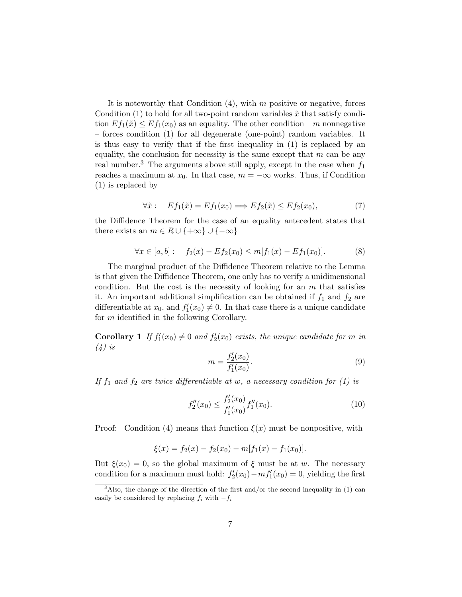It is noteworthy that Condition  $(4)$ , with m positive or negative, forces Condition (1) to hold for all two-point random variables  $\tilde{x}$  that satisfy condition  $Ef_1(\tilde{x}) \leq Ef_1(x_0)$  as an equality. The other condition – m nonnegative – forces condition (1) for all degenerate (one-point) random variables. It is thus easy to verify that if the first inequality in (1) is replaced by an equality, the conclusion for necessity is the same except that  $m$  can be any real number.<sup>3</sup> The arguments above still apply, except in the case when  $f_1$ reaches a maximum at  $x_0$ . In that case,  $m = -\infty$  works. Thus, if Condition (1) is replaced by

$$
\forall \tilde{x}: \quad Ef_1(\tilde{x}) = Ef_1(x_0) \Longrightarrow Ef_2(\tilde{x}) \le Ef_2(x_0), \tag{7}
$$

the Diffidence Theorem for the case of an equality antecedent states that there exists an  $m \in R \cup \{+\infty\} \cup \{-\infty\}$ 

$$
\forall x \in [a, b]: \quad f_2(x) - Ef_2(x_0) \le m[f_1(x) - Ef_1(x_0)]. \tag{8}
$$

The marginal product of the Diffidence Theorem relative to the Lemma is that given the Diffidence Theorem, one only has to verify a unidimensional condition. But the cost is the necessity of looking for an  $m$  that satisfies it. An important additional simplification can be obtained if  $f_1$  and  $f_2$  are differentiable at  $x_0$ , and  $f'_1(x_0) \neq 0$ . In that case there is a unique candidate for m identified in the following Corollary.

**Corollary 1** If  $f'_1(x_0) \neq 0$  and  $f'_2(x_0)$  exists, the unique candidate for m in  $(4)$  is

$$
m = \frac{f_2'(x_0)}{f_1'(x_0)}.\t(9)
$$

If  $f_1$  and  $f_2$  are twice differentiable at w, a necessary condition for (1) is

$$
f_2''(x_0) \le \frac{f_2'(x_0)}{f_1'(x_0)} f_1''(x_0). \tag{10}
$$

Proof: Condition (4) means that function  $\xi(x)$  must be nonpositive, with

$$
\xi(x) = f_2(x) - f_2(x_0) - m[f_1(x) - f_1(x_0)].
$$

But  $\xi(x_0) = 0$ , so the global maximum of  $\xi$  must be at w. The necessary condition for a maximum must hold:  $f'_{2}(x_{0}) - mf'_{1}(x_{0}) = 0$ , yielding the first

 $3$ Also, the change of the direction of the first and/or the second inequality in (1) can easily be considered by replacing  $f_i$  with  $-f_i$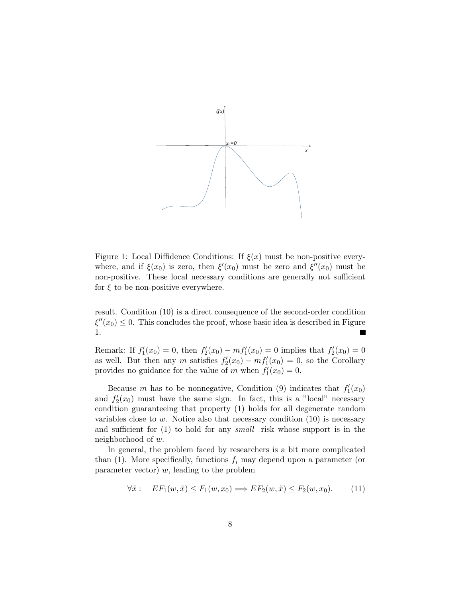

Figure 1: Local Diffidence Conditions: If  $\xi(x)$  must be non-positive everywhere, and if  $\xi(x_0)$  is zero, then  $\xi'(x_0)$  must be zero and  $\xi''(x_0)$  must be non-positive. These local necessary conditions are generally not sufficient for  $\xi$  to be non-positive everywhere.

result. Condition (10) is a direct consequence of the second-order condition  $\xi''(x_0) \leq 0$ . This concludes the proof, whose basic idea is described in Figure 1.

Remark: If  $f_1'(x_0) = 0$ , then  $f_2'(x_0) - mf_1'(x_0) = 0$  implies that  $f_2'(x_0) = 0$ as well. But then any m satisfies  $f'_{2}(x_0) - mf'_{1}(x_0) = 0$ , so the Corollary provides no guidance for the value of m when  $f_1'(x_0) = 0$ .

Because m has to be nonnegative, Condition (9) indicates that  $f'_1(x_0)$ and  $f_2'(x_0)$  must have the same sign. In fact, this is a "local" necessary condition guaranteeing that property (1) holds for all degenerate random variables close to w. Notice also that necessary condition  $(10)$  is necessary and sufficient for (1) to hold for any small risk whose support is in the neighborhood of w.

In general, the problem faced by researchers is a bit more complicated than  $(1)$ . More specifically, functions  $f_i$  may depend upon a parameter (or parameter vector)  $w$ , leading to the problem

$$
\forall \tilde{x}: \quad EF_1(w, \tilde{x}) \le F_1(w, x_0) \Longrightarrow EF_2(w, \tilde{x}) \le F_2(w, x_0). \tag{11}
$$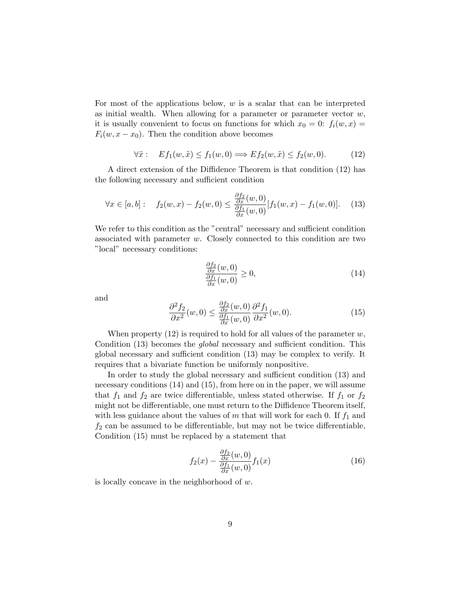For most of the applications below,  $w$  is a scalar that can be interpreted as initial wealth. When allowing for a parameter or parameter vector  $w$ , it is usually convenient to focus on functions for which  $x_0 = 0$ :  $f_i(w, x) =$  $F_i(w, x - x_0)$ . Then the condition above becomes

$$
\forall \tilde{x}: \quad Ef_1(w, \tilde{x}) \le f_1(w, 0) \Longrightarrow Ef_2(w, \tilde{x}) \le f_2(w, 0). \tag{12}
$$

A direct extension of the Diffidence Theorem is that condition (12) has the following necessary and sufficient condition

$$
\forall x \in [a, b]: \quad f_2(w, x) - f_2(w, 0) \le \frac{\frac{\partial f_2}{\partial x}(w, 0)}{\frac{\partial f_1}{\partial x}(w, 0)} [f_1(w, x) - f_1(w, 0)]. \tag{13}
$$

We refer to this condition as the "central" necessary and sufficient condition associated with parameter w. Closely connected to this condition are two "local" necessary conditions:

$$
\frac{\frac{\partial f_2}{\partial x}(w,0)}{\frac{\partial f_1}{\partial x}(w,0)} \ge 0,
$$
\n(14)

and

$$
\frac{\partial^2 f_2}{\partial x^2}(w,0) \le \frac{\frac{\partial f_2}{\partial x}(w,0)}{\frac{\partial f_1}{\partial x}(w,0)} \frac{\partial^2 f_1}{\partial x^2}(w,0).
$$
\n(15)

When property  $(12)$  is required to hold for all values of the parameter w, Condition (13) becomes the *global* necessary and sufficient condition. This global necessary and sufficient condition (13) may be complex to verify. It requires that a bivariate function be uniformly nonpositive.

In order to study the global necessary and sufficient condition (13) and necessary conditions (14) and (15), from here on in the paper, we will assume that  $f_1$  and  $f_2$  are twice differentiable, unless stated otherwise. If  $f_1$  or  $f_2$ might not be differentiable, one must return to the Diffidence Theorem itself, with less guidance about the values of m that will work for each 0. If  $f_1$  and  $f_2$  can be assumed to be differentiable, but may not be twice differentiable, Condition (15) must be replaced by a statement that

$$
f_2(x) - \frac{\frac{\partial f_2}{\partial x}(w,0)}{\frac{\partial f_1}{\partial x}(w,0)} f_1(x) \tag{16}
$$

is locally concave in the neighborhood of w.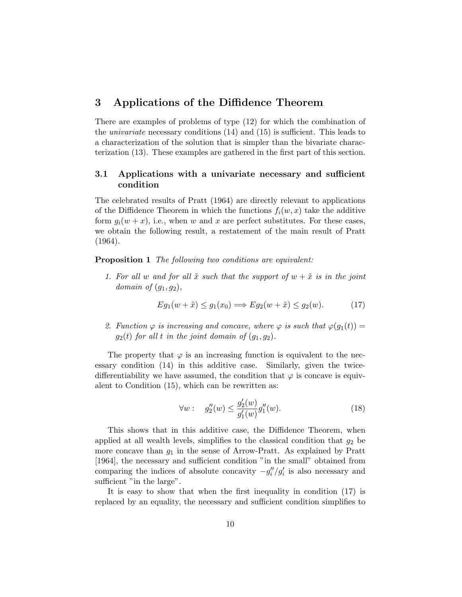# 3 Applications of the Diffidence Theorem

There are examples of problems of type (12) for which the combination of the univariate necessary conditions (14) and (15) is sufficient. This leads to a characterization of the solution that is simpler than the bivariate characterization (13). These examples are gathered in the first part of this section.

### 3.1 Applications with a univariate necessary and sufficient condition

The celebrated results of Pratt (1964) are directly relevant to applications of the Diffidence Theorem in which the functions  $f_i(w, x)$  take the additive form  $g_i(w + x)$ , i.e., when w and x are perfect substitutes. For these cases, we obtain the following result, a restatement of the main result of Pratt (1964).

**Proposition 1** The following two conditions are equivalent:

1. For all w and for all  $\tilde{x}$  such that the support of  $w + \tilde{x}$  is in the joint domain of  $(g_1, g_2)$ ,

$$
Eg_1(w + \tilde{x}) \le g_1(x_0) \Longrightarrow Eg_2(w + \tilde{x}) \le g_2(w). \tag{17}
$$

2. Function  $\varphi$  is increasing and concave, where  $\varphi$  is such that  $\varphi(g_1(t)) =$  $g_2(t)$  for all t in the joint domain of  $(g_1, g_2)$ .

The property that  $\varphi$  is an increasing function is equivalent to the necessary condition (14) in this additive case. Similarly, given the twicedifferentiability we have assumed, the condition that  $\varphi$  is concave is equivalent to Condition (15), which can be rewritten as:

$$
\forall w: \quad g_2''(w) \le \frac{g_2'(w)}{g_1'(w)} g_1''(w). \tag{18}
$$

This shows that in this additive case, the Diffidence Theorem, when applied at all wealth levels, simplifies to the classical condition that  $g_2$  be more concave than  $g_1$  in the sense of Arrow-Pratt. As explained by Pratt [1964], the necessary and sufficient condition "in the small" obtained from comparing the indices of absolute concavity  $-g_i''/g_i'$  is also necessary and sufficient "in the large".

It is easy to show that when the first inequality in condition (17) is replaced by an equality, the necessary and sufficient condition simplifies to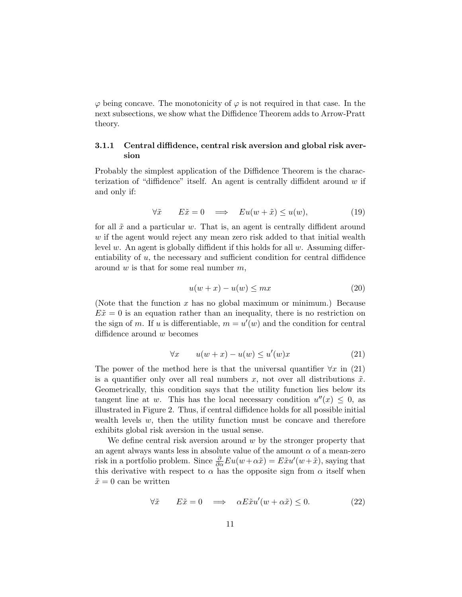$\varphi$  being concave. The monotonicity of  $\varphi$  is not required in that case. In the next subsections, we show what the Diffidence Theorem adds to Arrow-Pratt theory.

### 3.1.1 Central diffidence, central risk aversion and global risk aversion

Probably the simplest application of the Diffidence Theorem is the characterization of "diffidence" itself. An agent is centrally diffident around  $w$  if and only if:

$$
\forall \tilde{x} \qquad E\tilde{x} = 0 \quad \Longrightarrow \quad Eu(w + \tilde{x}) \le u(w), \tag{19}
$$

for all  $\tilde{x}$  and a particular w. That is, an agent is centrally diffident around w if the agent would reject any mean zero risk added to that initial wealth level w. An agent is globally diffident if this holds for all  $w$ . Assuming differentiability of  $u$ , the necessary and sufficient condition for central diffidence around  $w$  is that for some real number  $m$ ,

$$
u(w+x) - u(w) \le mx \tag{20}
$$

(Note that the function  $x$  has no global maximum or minimum.) Because  $E\tilde{x} = 0$  is an equation rather than an inequality, there is no restriction on the sign of m. If u is differentiable,  $m = u'(w)$  and the condition for central diffidence around w becomes

$$
\forall x \qquad u(w+x) - u(w) \le u'(w)x \tag{21}
$$

The power of the method here is that the universal quantifier  $\forall x$  in (21) is a quantifier only over all real numbers x, not over all distributions  $\tilde{x}$ . Geometrically, this condition says that the utility function lies below its tangent line at w. This has the local necessary condition  $u''(x) \leq 0$ , as illustrated in Figure 2. Thus, if central diffidence holds for all possible initial wealth levels  $w$ , then the utility function must be concave and therefore exhibits global risk aversion in the usual sense.

We define central risk aversion around  $w$  by the stronger property that an agent always wants less in absolute value of the amount  $\alpha$  of a mean-zero risk in a portfolio problem. Since  $\frac{\partial}{\partial \alpha} Eu(w + \alpha \tilde{x}) = E\tilde{x}u'(w + \tilde{x})$ , saying that this derivative with respect to  $\alpha$  has the opposite sign from  $\alpha$  itself when  $\tilde{x} = 0$  can be written

$$
\forall \tilde{x} \qquad E\tilde{x} = 0 \quad \Longrightarrow \quad \alpha E\tilde{x}u'(w + \alpha \tilde{x}) \le 0. \tag{22}
$$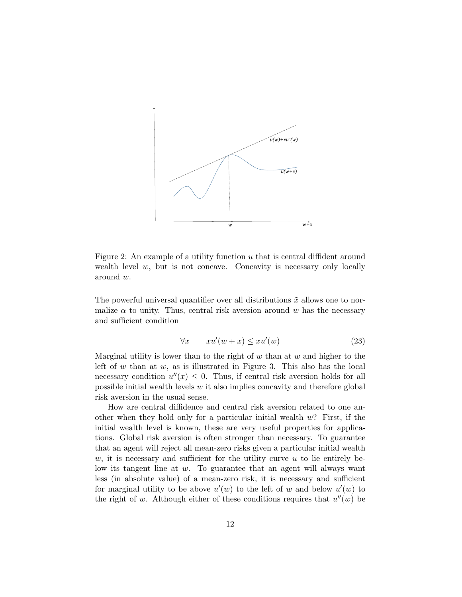

Figure 2: An example of a utility function  $u$  that is central diffident around wealth level  $w$ , but is not concave. Concavity is necessary only locally around w.

The powerful universal quantifier over all distributions  $\tilde{x}$  allows one to normalize  $\alpha$  to unity. Thus, central risk aversion around w has the necessary and sufficient condition

$$
\forall x \qquad xu'(w+x) \le xu'(w) \tag{23}
$$

Marginal utility is lower than to the right of  $w$  than at  $w$  and higher to the left of  $w$  than at  $w$ , as is illustrated in Figure 3. This also has the local necessary condition  $u''(x) \leq 0$ . Thus, if central risk aversion holds for all possible initial wealth levels  $w$  it also implies concavity and therefore global risk aversion in the usual sense.

How are central diffidence and central risk aversion related to one another when they hold only for a particular initial wealth  $w$ ? First, if the initial wealth level is known, these are very useful properties for applications. Global risk aversion is often stronger than necessary. To guarantee that an agent will reject all mean-zero risks given a particular initial wealth  $w$ , it is necessary and sufficient for the utility curve u to lie entirely below its tangent line at w. To guarantee that an agent will always want less (in absolute value) of a mean-zero risk, it is necessary and sufficient for marginal utility to be above  $u'(w)$  to the left of w and below  $u'(w)$  to the right of w. Although either of these conditions requires that  $u''(w)$  be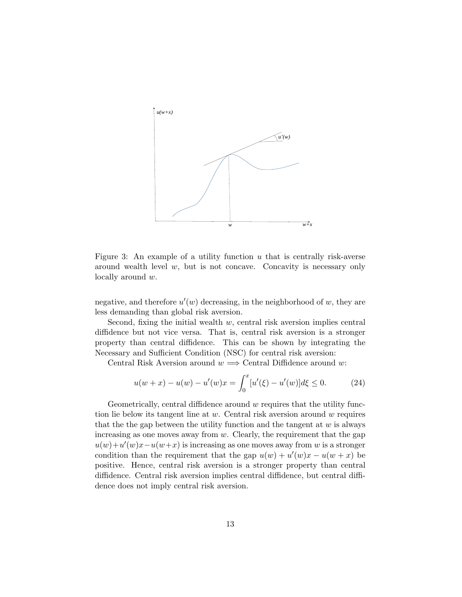

Figure 3: An example of a utility function  $u$  that is centrally risk-averse around wealth level  $w$ , but is not concave. Concavity is necessary only locally around w.

negative, and therefore  $u'(w)$  decreasing, in the neighborhood of  $w$ , they are less demanding than global risk aversion.

Second, fixing the initial wealth  $w$ , central risk aversion implies central diffidence but not vice versa. That is, central risk aversion is a stronger property than central diffidence. This can be shown by integrating the Necessary and Sufficient Condition (NSC) for central risk aversion:

Central Risk Aversion around  $w \implies$  Central Diffidence around w:

$$
u(w+x) - u(w) - u'(w)x = \int_0^x [u'(\xi) - u'(w)]d\xi \le 0.
$$
 (24)

Geometrically, central diffidence around w requires that the utility function lie below its tangent line at  $w$ . Central risk aversion around  $w$  requires that the the gap between the utility function and the tangent at  $w$  is always increasing as one moves away from  $w$ . Clearly, the requirement that the gap  $u(w) + u'(w)x - u(w+x)$  is increasing as one moves away from w is a stronger condition than the requirement that the gap  $u(w) + u'(w)x - u(w + x)$  be positive. Hence, central risk aversion is a stronger property than central diffidence. Central risk aversion implies central diffidence, but central diffidence does not imply central risk aversion.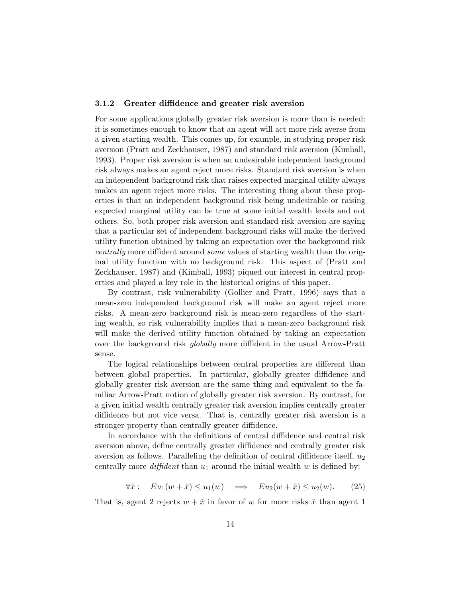#### 3.1.2 Greater diffidence and greater risk aversion

For some applications globally greater risk aversion is more than is needed: it is sometimes enough to know that an agent will act more risk averse from a given starting wealth. This comes up, for example, in studying proper risk aversion (Pratt and Zeckhauser, 1987) and standard risk aversion (Kimball, 1993). Proper risk aversion is when an undesirable independent background risk always makes an agent reject more risks. Standard risk aversion is when an independent background risk that raises expected marginal utility always makes an agent reject more risks. The interesting thing about these properties is that an independent background risk being undesirable or raising expected marginal utility can be true at some initial wealth levels and not others. So, both proper risk aversion and standard risk aversion are saying that a particular set of independent background risks will make the derived utility function obtained by taking an expectation over the background risk centrally more diffident around some values of starting wealth than the original utility function with no background risk. This aspect of (Pratt and Zeckhauser, 1987) and (Kimball, 1993) piqued our interest in central properties and played a key role in the historical origins of this paper.

By contrast, risk vulnerability (Gollier and Pratt, 1996) says that a mean-zero independent background risk will make an agent reject more risks. A mean-zero background risk is mean-zero regardless of the starting wealth, so risk vulnerability implies that a mean-zero background risk will make the derived utility function obtained by taking an expectation over the background risk globally more diffident in the usual Arrow-Pratt sense.

The logical relationships between central properties are different than between global properties. In particular, globally greater diffidence and globally greater risk aversion are the same thing and equivalent to the familiar Arrow-Pratt notion of globally greater risk aversion. By contrast, for a given initial wealth centrally greater risk aversion implies centrally greater diffidence but not vice versa. That is, centrally greater risk aversion is a stronger property than centrally greater diffidence.

In accordance with the definitions of central diffidence and central risk aversion above, define centrally greater diffidence and centrally greater risk aversion as follows. Paralleling the definition of central diffidence itself,  $u_2$ centrally more *diffident* than  $u_1$  around the initial wealth  $w$  is defined by:

$$
\forall \tilde{x}: \quad Eu_1(w + \tilde{x}) \le u_1(w) \quad \Longrightarrow \quad Eu_2(w + \tilde{x}) \le u_2(w). \tag{25}
$$

That is, agent 2 rejects  $w + \tilde{x}$  in favor of w for more risks  $\tilde{x}$  than agent 1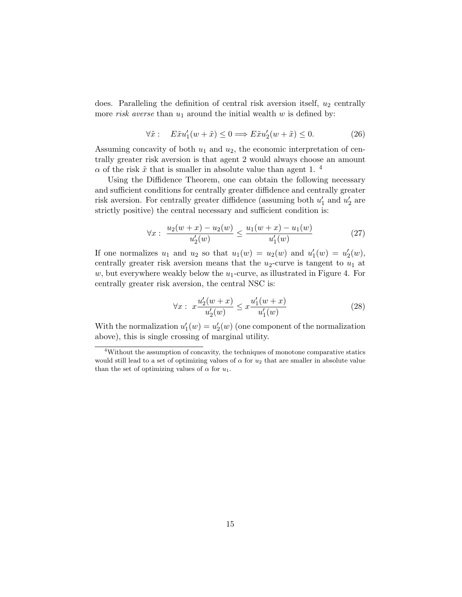does. Paralleling the definition of central risk aversion itself,  $u_2$  centrally more *risk averse* than  $u_1$  around the initial wealth w is defined by:

$$
\forall \tilde{x}: \quad E\tilde{x}u_1'(w+\tilde{x}) \le 0 \Longrightarrow E\tilde{x}u_2'(w+\tilde{x}) \le 0. \tag{26}
$$

Assuming concavity of both  $u_1$  and  $u_2$ , the economic interpretation of centrally greater risk aversion is that agent 2 would always choose an amount  $\alpha$  of the risk  $\tilde{x}$  that is smaller in absolute value than agent 1. <sup>4</sup>

Using the Diffidence Theorem, one can obtain the following necessary and sufficient conditions for centrally greater diffidence and centrally greater risk aversion. For centrally greater diffidence (assuming both  $u'_1$  and  $u'_2$  are strictly positive) the central necessary and sufficient condition is:

$$
\forall x: \ \frac{u_2(w+x) - u_2(w)}{u'_2(w)} \le \frac{u_1(w+x) - u_1(w)}{u'_1(w)} \tag{27}
$$

If one normalizes  $u_1$  and  $u_2$  so that  $u_1(w) = u_2(w)$  and  $u'_1(w) = u'_2(w)$ , centrally greater risk aversion means that the  $u_2$ -curve is tangent to  $u_1$  at  $w$ , but everywhere weakly below the  $u_1$ -curve, as illustrated in Figure 4. For centrally greater risk aversion, the central NSC is:

$$
\forall x: \ x \frac{u_2'(w+x)}{u_2'(w)} \le x \frac{u_1'(w+x)}{u_1'(w)}
$$
\n(28)

With the normalization  $u_1'(w) = u_2'(w)$  (one component of the normalization above), this is single crossing of marginal utility.

<sup>4</sup>Without the assumption of concavity, the techniques of monotone comparative statics would still lead to a set of optimizing values of  $\alpha$  for  $u_2$  that are smaller in absolute value than the set of optimizing values of  $\alpha$  for  $u_1$ .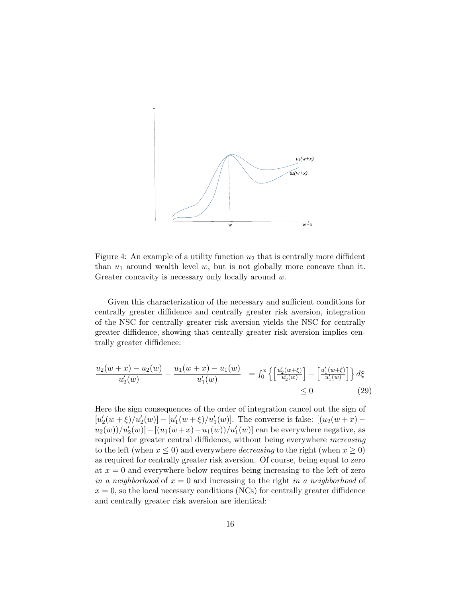

Figure 4: An example of a utility function  $u_2$  that is centrally more diffident than  $u_1$  around wealth level  $w$ , but is not globally more concave than it. Greater concavity is necessary only locally around w.

Given this characterization of the necessary and sufficient conditions for centrally greater diffidence and centrally greater risk aversion, integration of the NSC for centrally greater risk aversion yields the NSC for centrally greater diffidence, showing that centrally greater risk aversion implies centrally greater diffidence:

$$
\frac{u_2(w+x) - u_2(w)}{u'_2(w)} - \frac{u_1(w+x) - u_1(w)}{u'_1(w)} = \int_0^x \left\{ \left[ \frac{u'_2(w+\xi)}{u'_2(w)} \right] - \left[ \frac{u'_1(w+\xi)}{u'_1(w)} \right] \right\} d\xi
$$
\n
$$
\leq 0
$$
\n(29)

Here the sign consequences of the order of integration cancel out the sign of  $[u_2'(w+\xi)/u_2'(w)] - [u_1'(w+\xi)/u_1'(w)]$ . The converse is false:  $[(u_2(w+x)$  $u_2(w) / u'_2(w)$ ] – [ $(u_1(w+x) - u_1(w)) / u'_1(w)$ ] can be everywhere negative, as required for greater central diffidence, without being everywhere increasing to the left (when  $x \leq 0$ ) and everywhere *decreasing* to the right (when  $x \geq 0$ ) as required for centrally greater risk aversion. Of course, being equal to zero at  $x = 0$  and everywhere below requires being increasing to the left of zero in a neighborhood of  $x = 0$  and increasing to the right in a neighborhood of  $x = 0$ , so the local necessary conditions (NCs) for centrally greater diffidence and centrally greater risk aversion are identical: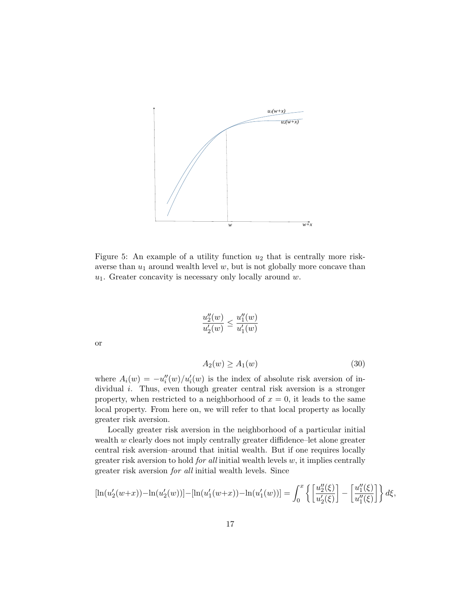

Figure 5: An example of a utility function  $u_2$  that is centrally more riskaverse than  $u_1$  around wealth level  $w$ , but is not globally more concave than  $u_1$ . Greater concavity is necessary only locally around  $w$ .

$$
\frac{u''_2(w)}{u'_2(w)} \le \frac{u''_1(w)}{u'_1(w)}
$$

or

$$
A_2(w) \ge A_1(w) \tag{30}
$$

where  $A_i(w) = -u_i''(w)/u_i'(w)$  is the index of absolute risk aversion of individual i. Thus, even though greater central risk aversion is a stronger property, when restricted to a neighborhood of  $x = 0$ , it leads to the same local property. From here on, we will refer to that local property as locally greater risk aversion.

Locally greater risk aversion in the neighborhood of a particular initial wealth w clearly does not imply centrally greater diffidence–let alone greater central risk aversion–around that initial wealth. But if one requires locally greater risk aversion to hold *for all* initial wealth levels  $w$ , it implies centrally greater risk aversion for all initial wealth levels. Since

$$
[\ln(u_2'(w+x)) - \ln(u_2'(w))] - [\ln(u_1'(w+x)) - \ln(u_1'(w))] = \int_0^x \left\{ \left[ \frac{u_2''(\xi)}{u_2'(\xi)} \right] - \left[ \frac{u_1''(\xi)}{u_1''(\xi)} \right] \right\} d\xi,
$$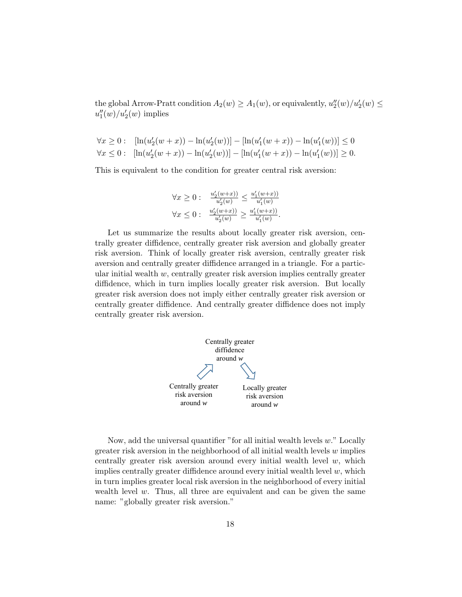the global Arrow-Pratt condition  $A_2(w) \ge A_1(w)$ , or equivalently,  $u''_2(w)/u'_2(w) \le$  $u_1''(w)/u_2'(w)$  implies

$$
\forall x \ge 0: \quad \left[\ln(u_2'(w+x)) - \ln(u_2'(w))\right] - \left[\ln(u_1'(w+x)) - \ln(u_1'(w))\right] \le 0
$$
  

$$
\forall x \le 0: \quad \left[\ln(u_2'(w+x)) - \ln(u_2'(w))\right] - \left[\ln(u_1'(w+x)) - \ln(u_1'(w))\right] \ge 0.
$$

This is equivalent to the condition for greater central risk aversion:

$$
\forall x \ge 0: \quad \frac{u_2'(w+x))}{u_2'(w)} \le \frac{u_1'(w+x))}{u_1'(w)}
$$

$$
\forall x \le 0: \quad \frac{u_2'(w+x))}{u_2'(w)} \ge \frac{u_1'(w+x))}{u_1'(w)}.
$$

Let us summarize the results about locally greater risk aversion, centrally greater diffidence, centrally greater risk aversion and globally greater risk aversion. Think of locally greater risk aversion, centrally greater risk aversion and centrally greater diffidence arranged in a triangle. For a particular initial wealth  $w$ , centrally greater risk aversion implies centrally greater diffidence, which in turn implies locally greater risk aversion. But locally greater risk aversion does not imply either centrally greater risk aversion or centrally greater diffidence. And centrally greater diffidence does not imply centrally greater risk aversion.



Now, add the universal quantifier "for all initial wealth levels  $w$ ." Locally greater risk aversion in the neighborhood of all initial wealth levels  $w$  implies centrally greater risk aversion around every initial wealth level  $w$ , which implies centrally greater diffidence around every initial wealth level  $w$ , which in turn implies greater local risk aversion in the neighborhood of every initial wealth level  $w$ . Thus, all three are equivalent and can be given the same name: "globally greater risk aversion."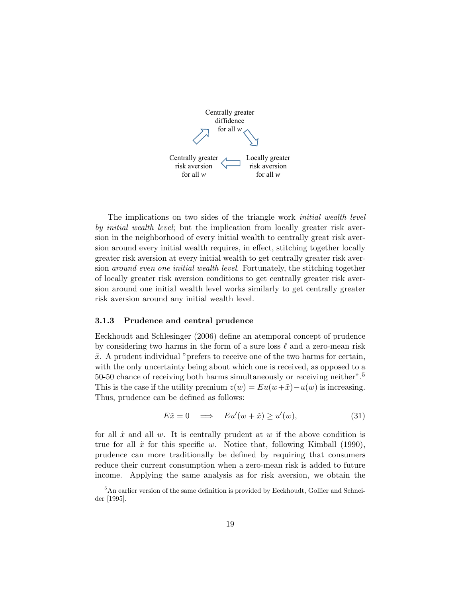

The implications on two sides of the triangle work initial wealth level by *initial wealth level*; but the implication from locally greater risk aversion in the neighborhood of every initial wealth to centrally great risk aversion around every initial wealth requires, in effect, stitching together locally greater risk aversion at every initial wealth to get centrally greater risk aversion around even one initial wealth level. Fortunately, the stitching together of locally greater risk aversion conditions to get centrally greater risk aversion around one initial wealth level works similarly to get centrally greater risk aversion around any initial wealth level.

#### 3.1.3 Prudence and central prudence

Eeckhoudt and Schlesinger (2006) define an atemporal concept of prudence by considering two harms in the form of a sure loss  $\ell$  and a zero-mean risk  $\tilde{x}$ . A prudent individual "prefers to receive one of the two harms for certain, with the only uncertainty being about which one is received, as opposed to a 50-50 chance of receiving both harms simultaneously or receiving neither".<sup>5</sup> This is the case if the utility premium  $z(w) = Eu(w + \tilde{x}) - u(w)$  is increasing. Thus, prudence can be defined as follows:

$$
E\tilde{x} = 0 \quad \Longrightarrow \quad Eu'(w + \tilde{x}) \ge u'(w), \tag{31}
$$

for all  $\tilde{x}$  and all w. It is centrally prudent at w if the above condition is true for all  $\tilde{x}$  for this specific w. Notice that, following Kimball (1990), prudence can more traditionally be defined by requiring that consumers reduce their current consumption when a zero-mean risk is added to future income. Applying the same analysis as for risk aversion, we obtain the

 $^5\mbox{\rm An}$  earlier version of the same definition is provided by Eeckhoudt, Gollier and Schneider [1995].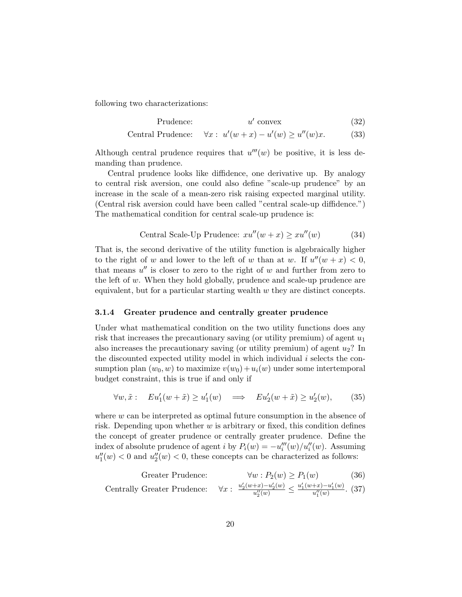following two characterizations:

$$
Prudence: \t u' convex \t(32)
$$

Central Prudence:  $u'(w+x) - u'(w) \ge u''(w)x.$  (33)

Although central prudence requires that  $u'''(w)$  be positive, it is less demanding than prudence.

Central prudence looks like diffidence, one derivative up. By analogy to central risk aversion, one could also define "scale-up prudence" by an increase in the scale of a mean-zero risk raising expected marginal utility. (Central risk aversion could have been called "central scale-up diffidence.") The mathematical condition for central scale-up prudence is:

Central Scale-Up Prudence: 
$$
xu''(w+x) \ge xu''(w)
$$
 (34)

That is, the second derivative of the utility function is algebraically higher to the right of w and lower to the left of w than at w. If  $u''(w + x) < 0$ , that means  $u''$  is closer to zero to the right of w and further from zero to the left of  $w$ . When they hold globally, prudence and scale-up prudence are equivalent, but for a particular starting wealth  $w$  they are distinct concepts.

#### 3.1.4 Greater prudence and centrally greater prudence

Under what mathematical condition on the two utility functions does any risk that increases the precautionary saving (or utility premium) of agent  $u_1$ also increases the precautionary saving (or utility premium) of agent  $u_2$ ? In the discounted expected utility model in which individual  $i$  selects the consumption plan  $(w_0, w)$  to maximize  $v(w_0) + u_i(w)$  under some intertemporal budget constraint, this is true if and only if

$$
\forall w, \tilde{x}: \quad Eu_1'(w + \tilde{x}) \ge u_1'(w) \quad \Longrightarrow \quad Eu_2'(w + \tilde{x}) \ge u_2'(w), \tag{35}
$$

where w can be interpreted as optimal future consumption in the absence of risk. Depending upon whether  $w$  is arbitrary or fixed, this condition defines the concept of greater prudence or centrally greater prudence. Define the index of absolute prudence of agent i by  $P_i(w) = -u_i'''(w)/u_i''(w)$ . Assuming  $u''_1(w) < 0$  and  $u''_2(w) < 0$ , these concepts can be characterized as follows:

| Greater Prudence:           | $\forall w : P_2(w) \ge P_1(w)$                                                             | (36) |
|-----------------------------|---------------------------------------------------------------------------------------------|------|
| Centrally Greater Prudence: | $\forall x : \frac{u_2'(w+x) - u_2'(w)}{u_2''(w)} \le \frac{u_1'(w+x) - u_1'(w)}{u_1''(w)}$ | (37) |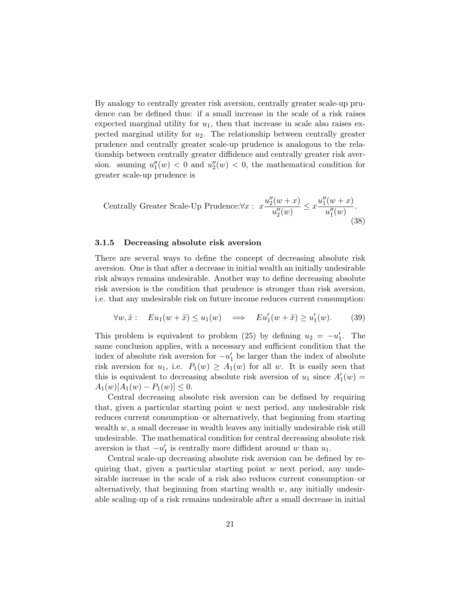By analogy to centrally greater risk aversion, centrally greater scale-up prudence can be defined thus: if a small increase in the scale of a risk raises expected marginal utility for  $u_1$ , then that increase in scale also raises expected marginal utility for  $u_2$ . The relationship between centrally greater prudence and centrally greater scale-up prudence is analogous to the relationship between centrally greater diffidence and centrally greater risk aversion. ssuming  $u''_1(w) < 0$  and  $u''_2(w) < 0$ , the mathematical condition for greater scale-up prudence is

$$
\text{Centrally Greater Scale-Up Prudence:} \forall x: \ x \frac{u_2''(w+x)}{u_2''(w)} \leq x \frac{u_1''(w+x)}{u_1''(w)}.
$$
\n
$$
(38)
$$

#### 3.1.5 Decreasing absolute risk aversion

There are several ways to define the concept of decreasing absolute risk aversion. One is that after a decrease in initial wealth an initially undesirable risk always remains undesirable. Another way to define decreasing absolute risk aversion is the condition that prudence is stronger than risk aversion, i.e. that any undesirable risk on future income reduces current consumption:

$$
\forall w, \tilde{x}: \quad Eu_1(w + \tilde{x}) \le u_1(w) \quad \Longrightarrow \quad Eu'_1(w + \tilde{x}) \ge u'_1(w). \tag{39}
$$

This problem is equivalent to problem (25) by defining  $u_2 = -u'_1$ . The same conclusion applies, with a necessary and sufficient condition that the index of absolute risk aversion for  $-u'_1$  be larger than the index of absolute risk aversion for  $u_1$ , i.e.  $P_1(w) \geq A_1(w)$  for all w. It is easily seen that this is equivalent to decreasing absolute risk aversion of  $u_1$  since  $A'_1(w)$  =  $A_1(w)[A_1(w) - P_1(w)] \leq 0.$ 

Central decreasing absolute risk aversion can be defined by requiring that, given a particular starting point  $w$  next period, any undesirable risk reduces current consumption–or alternatively, that beginning from starting wealth  $w$ , a small decrease in wealth leaves any initially undesirable risk still undesirable. The mathematical condition for central decreasing absolute risk aversion is that  $-u'_1$  is centrally more diffident around w than  $u_1$ .

Central scale-up decreasing absolute risk aversion can be defined by requiring that, given a particular starting point  $w$  next period, any undesirable increase in the scale of a risk also reduces current consumption–or alternatively, that beginning from starting wealth  $w$ , any initially undesirable scaling-up of a risk remains undesirable after a small decrease in initial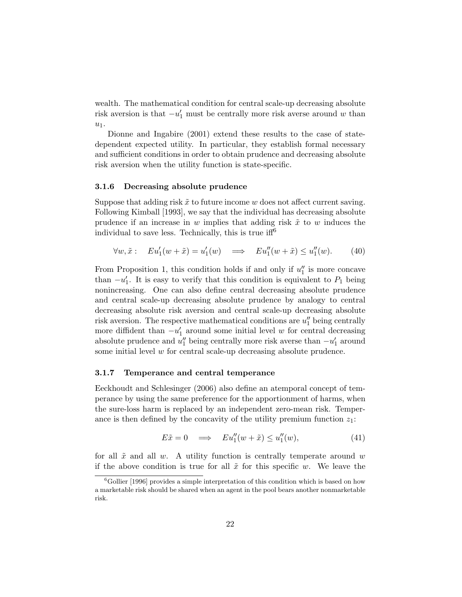wealth. The mathematical condition for central scale-up decreasing absolute risk aversion is that  $-u'_1$  must be centrally more risk averse around w than  $u_1$ .

Dionne and Ingabire (2001) extend these results to the case of statedependent expected utility. In particular, they establish formal necessary and sufficient conditions in order to obtain prudence and decreasing absolute risk aversion when the utility function is state-specific.

#### 3.1.6 Decreasing absolute prudence

Suppose that adding risk  $\tilde{x}$  to future income w does not affect current saving. Following Kimball [1993], we say that the individual has decreasing absolute prudence if an increase in w implies that adding risk  $\tilde{x}$  to w induces the individual to save less. Technically, this is true  $iff^6$ 

$$
\forall w, \tilde{x}: \quad Eu_1'(w + \tilde{x}) = u_1'(w) \quad \Longrightarrow \quad Eu_1''(w + \tilde{x}) \le u_1''(w). \tag{40}
$$

From Proposition 1, this condition holds if and only if  $u''_1$  is more concave than  $-u'_1$ . It is easy to verify that this condition is equivalent to  $P_1$  being nonincreasing. One can also define central decreasing absolute prudence and central scale-up decreasing absolute prudence by analogy to central decreasing absolute risk aversion and central scale-up decreasing absolute risk aversion. The respective mathematical conditions are  $u''_1$  being centrally more diffident than  $-u'_1$  around some initial level w for central decreasing absolute prudence and  $u''_1$  being centrally more risk averse than  $-u'_1$  around some initial level w for central scale-up decreasing absolute prudence.

#### 3.1.7 Temperance and central temperance

Eeckhoudt and Schlesinger (2006) also define an atemporal concept of temperance by using the same preference for the apportionment of harms, when the sure-loss harm is replaced by an independent zero-mean risk. Temperance is then defined by the concavity of the utility premium function  $z_1$ :

$$
E\tilde{x} = 0 \implies Eu_1''(w + \tilde{x}) \le u_1''(w), \tag{41}
$$

for all  $\tilde{x}$  and all w. A utility function is centrally temperate around w if the above condition is true for all  $\tilde{x}$  for this specific w. We leave the

 ${}^{6}$ Gollier [1996] provides a simple interpretation of this condition which is based on how a marketable risk should be shared when an agent in the pool bears another nonmarketable risk.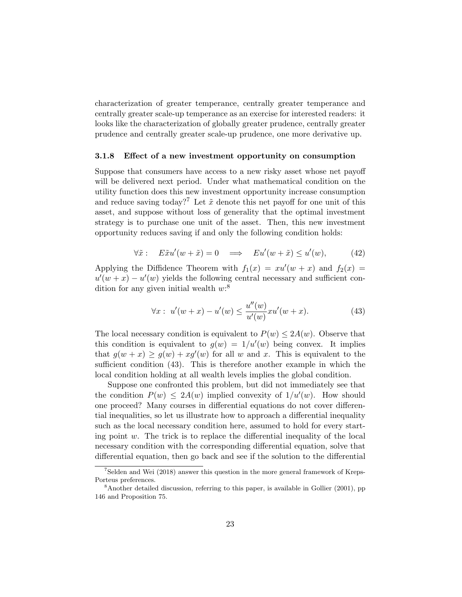characterization of greater temperance, centrally greater temperance and centrally greater scale-up temperance as an exercise for interested readers: it looks like the characterization of globally greater prudence, centrally greater prudence and centrally greater scale-up prudence, one more derivative up.

#### 3.1.8 Effect of a new investment opportunity on consumption

Suppose that consumers have access to a new risky asset whose net payoff will be delivered next period. Under what mathematical condition on the utility function does this new investment opportunity increase consumption and reduce saving today?<sup>7</sup> Let  $\tilde{x}$  denote this net payoff for one unit of this asset, and suppose without loss of generality that the optimal investment strategy is to purchase one unit of the asset. Then, this new investment opportunity reduces saving if and only the following condition holds:

$$
\forall \tilde{x}: \quad E\tilde{x}u'(w+\tilde{x})=0 \quad \Longrightarrow \quad Eu'(w+\tilde{x}) \le u'(w), \tag{42}
$$

Applying the Diffidence Theorem with  $f_1(x) = xu'(w + x)$  and  $f_2(x) =$  $u'(w+x) - u'(w)$  yields the following central necessary and sufficient condition for any given initial wealth  $w$ :<sup>8</sup>

$$
\forall x: \ u'(w+x) - u'(w) \le \frac{u''(w)}{u'(w)} x u'(w+x). \tag{43}
$$

The local necessary condition is equivalent to  $P(w) \leq 2A(w)$ . Observe that this condition is equivalent to  $g(w) = 1/u'(w)$  being convex. It implies that  $g(w+x) \ge g(w) + xg'(w)$  for all w and x. This is equivalent to the sufficient condition (43). This is therefore another example in which the local condition holding at all wealth levels implies the global condition.

Suppose one confronted this problem, but did not immediately see that the condition  $P(w) \leq 2A(w)$  implied convexity of  $1/u'(w)$ . How should one proceed? Many courses in differential equations do not cover differential inequalities, so let us illustrate how to approach a differential inequality such as the local necessary condition here, assumed to hold for every starting point  $w$ . The trick is to replace the differential inequality of the local necessary condition with the corresponding differential equation, solve that differential equation, then go back and see if the solution to the differential

<sup>7</sup>Selden and Wei (2018) answer this question in the more general framework of Kreps-Porteus preferences.

<sup>&</sup>lt;sup>8</sup>Another detailed discussion, referring to this paper, is available in Gollier (2001), pp 146 and Proposition 75.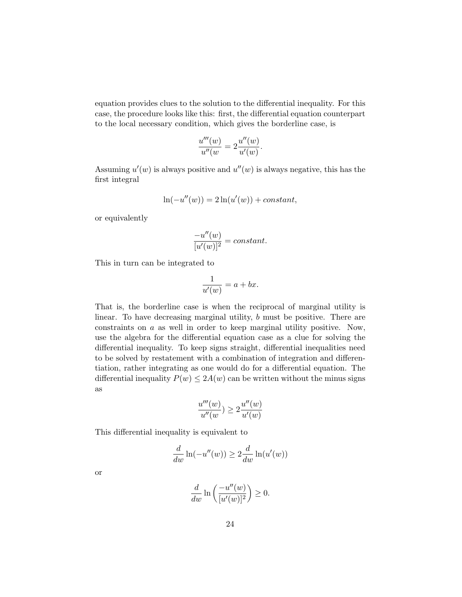equation provides clues to the solution to the differential inequality. For this case, the procedure looks like this: first, the differential equation counterpart to the local necessary condition, which gives the borderline case, is

$$
\frac{u'''(w)}{u''(w)} = 2\frac{u''(w)}{u'(w)}.
$$

Assuming  $u'(w)$  is always positive and  $u''(w)$  is always negative, this has the first integral

$$
\ln(-u''(w)) = 2\ln(u'(w)) + constant,
$$

or equivalently

$$
\frac{-u''(w)}{[u'(w)]^2} = constant.
$$

This in turn can be integrated to

$$
\frac{1}{u'(w)} = a + bx.
$$

That is, the borderline case is when the reciprocal of marginal utility is linear. To have decreasing marginal utility, b must be positive. There are constraints on a as well in order to keep marginal utility positive. Now, use the algebra for the differential equation case as a clue for solving the differential inequality. To keep signs straight, differential inequalities need to be solved by restatement with a combination of integration and differentiation, rather integrating as one would do for a differential equation. The differential inequality  $P(w) \leq 2A(w)$  can be written without the minus signs as

$$
\frac{u'''(w)}{u''(w)} \ge 2\frac{u''(w)}{u'(w)}
$$

This differential inequality is equivalent to

$$
\frac{d}{dw}\ln(-u''(w)) \ge 2\frac{d}{dw}\ln(u'(w))
$$

or

$$
\frac{d}{dw}\ln\left(\frac{-u''(w)}{[u'(w)]^2}\right) \ge 0.
$$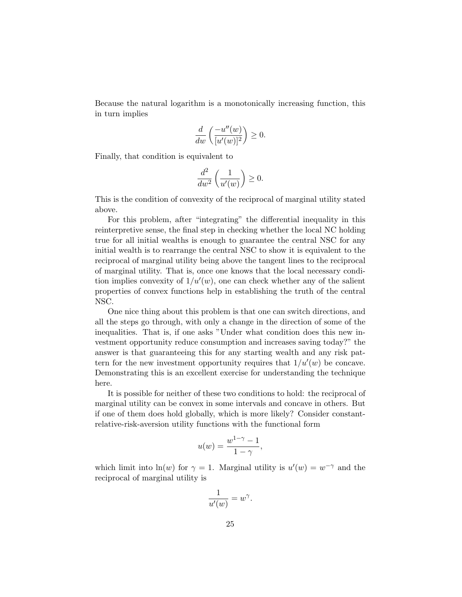Because the natural logarithm is a monotonically increasing function, this in turn implies

$$
\frac{d}{dw}\left(\frac{-u''(w)}{[u'(w)]^2}\right) \ge 0.
$$

Finally, that condition is equivalent to

$$
\frac{d^2}{dw^2} \left( \frac{1}{u'(w)} \right) \ge 0.
$$

This is the condition of convexity of the reciprocal of marginal utility stated above.

For this problem, after "integrating" the differential inequality in this reinterpretive sense, the final step in checking whether the local NC holding true for all initial wealths is enough to guarantee the central NSC for any initial wealth is to rearrange the central NSC to show it is equivalent to the reciprocal of marginal utility being above the tangent lines to the reciprocal of marginal utility. That is, once one knows that the local necessary condition implies convexity of  $1/u'(w)$ , one can check whether any of the salient properties of convex functions help in establishing the truth of the central NSC.

One nice thing about this problem is that one can switch directions, and all the steps go through, with only a change in the direction of some of the inequalities. That is, if one asks "Under what condition does this new investment opportunity reduce consumption and increases saving today?" the answer is that guaranteeing this for any starting wealth and any risk pattern for the new investment opportunity requires that  $1/u'(w)$  be concave. Demonstrating this is an excellent exercise for understanding the technique here.

It is possible for neither of these two conditions to hold: the reciprocal of marginal utility can be convex in some intervals and concave in others. But if one of them does hold globally, which is more likely? Consider constantrelative-risk-aversion utility functions with the functional form

$$
u(w) = \frac{w^{1-\gamma} - 1}{1 - \gamma},
$$

which limit into  $ln(w)$  for  $\gamma = 1$ . Marginal utility is  $u'(w) = w^{-\gamma}$  and the reciprocal of marginal utility is

$$
\frac{1}{u'(w)} = w^{\gamma}
$$

.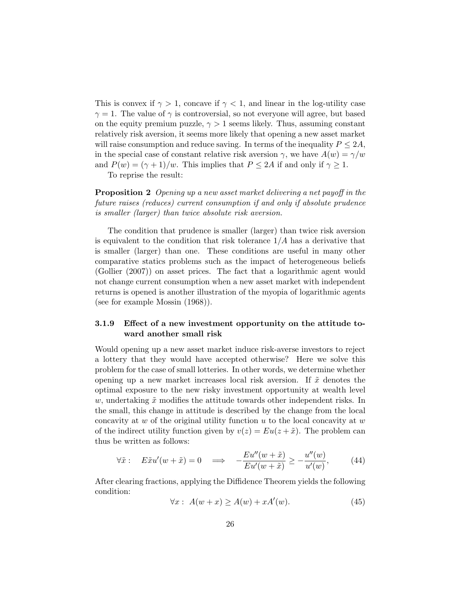This is convex if  $\gamma > 1$ , concave if  $\gamma < 1$ , and linear in the log-utility case  $\gamma = 1$ . The value of  $\gamma$  is controversial, so not everyone will agree, but based on the equity premium puzzle,  $\gamma > 1$  seems likely. Thus, assuming constant relatively risk aversion, it seems more likely that opening a new asset market will raise consumption and reduce saving. In terms of the inequality  $P \leq 2A$ , in the special case of constant relative risk aversion  $\gamma$ , we have  $A(w) = \gamma/w$ and  $P(w) = (\gamma + 1)/w$ . This implies that  $P \le 2A$  if and only if  $\gamma \ge 1$ .

To reprise the result:

Proposition 2 Opening up a new asset market delivering a net payoff in the future raises (reduces) current consumption if and only if absolute prudence is smaller (larger) than twice absolute risk aversion.

The condition that prudence is smaller (larger) than twice risk aversion is equivalent to the condition that risk tolerance  $1/A$  has a derivative that is smaller (larger) than one. These conditions are useful in many other comparative statics problems such as the impact of heterogeneous beliefs (Gollier (2007)) on asset prices. The fact that a logarithmic agent would not change current consumption when a new asset market with independent returns is opened is another illustration of the myopia of logarithmic agents (see for example Mossin (1968)).

### 3.1.9 Effect of a new investment opportunity on the attitude toward another small risk

Would opening up a new asset market induce risk-averse investors to reject a lottery that they would have accepted otherwise? Here we solve this problem for the case of small lotteries. In other words, we determine whether opening up a new market increases local risk aversion. If  $\tilde{x}$  denotes the optimal exposure to the new risky investment opportunity at wealth level w, undertaking  $\tilde{x}$  modifies the attitude towards other independent risks. In the small, this change in attitude is described by the change from the local concavity at  $w$  of the original utility function  $u$  to the local concavity at  $w$ of the indirect utility function given by  $v(z) = Eu(z + \tilde{x})$ . The problem can thus be written as follows:

$$
\forall \tilde{x}: \quad E\tilde{x}u'(w+\tilde{x})=0 \quad \Longrightarrow \quad -\frac{Eu''(w+\tilde{x})}{Eu'(w+\tilde{x})} \ge -\frac{u''(w)}{u'(w)},\tag{44}
$$

After clearing fractions, applying the Diffidence Theorem yields the following condition:

$$
\forall x: A(w+x) \ge A(w) + xA'(w). \tag{45}
$$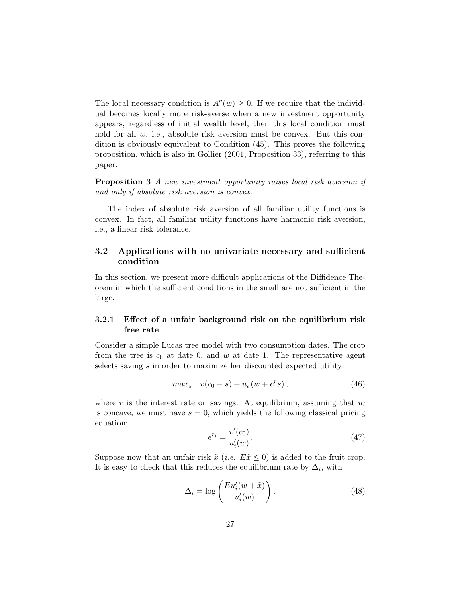The local necessary condition is  $A''(w) \geq 0$ . If we require that the individual becomes locally more risk-averse when a new investment opportunity appears, regardless of initial wealth level, then this local condition must hold for all  $w$ , i.e., absolute risk aversion must be convex. But this condition is obviously equivalent to Condition (45). This proves the following proposition, which is also in Gollier (2001, Proposition 33), referring to this paper.

Proposition 3 A new investment opportunity raises local risk aversion if and only if absolute risk aversion is convex.

The index of absolute risk aversion of all familiar utility functions is convex. In fact, all familiar utility functions have harmonic risk aversion, i.e., a linear risk tolerance.

# 3.2 Applications with no univariate necessary and sufficient condition

In this section, we present more difficult applications of the Diffidence Theorem in which the sufficient conditions in the small are not sufficient in the large.

### 3.2.1 Effect of a unfair background risk on the equilibrium risk free rate

Consider a simple Lucas tree model with two consumption dates. The crop from the tree is  $c_0$  at date 0, and w at date 1. The representative agent selects saving s in order to maximize her discounted expected utility:

$$
max_{s} v(c_0 - s) + u_i(w + e^r s), \qquad (46)
$$

where r is the interest rate on savings. At equilibrium, assuming that  $u_i$ is concave, we must have  $s = 0$ , which yields the following classical pricing equation:

$$
e^{r_i} = \frac{v'(c_0)}{u'_i(w)}.
$$
\n(47)

Suppose now that an unfair risk  $\tilde{x}$  (*i.e.*  $E\tilde{x} \leq 0$ ) is added to the fruit crop. It is easy to check that this reduces the equilibrium rate by  $\Delta_i$ , with

$$
\Delta_i = \log \left( \frac{E u_i'(w + \tilde{x})}{u_i'(w)} \right). \tag{48}
$$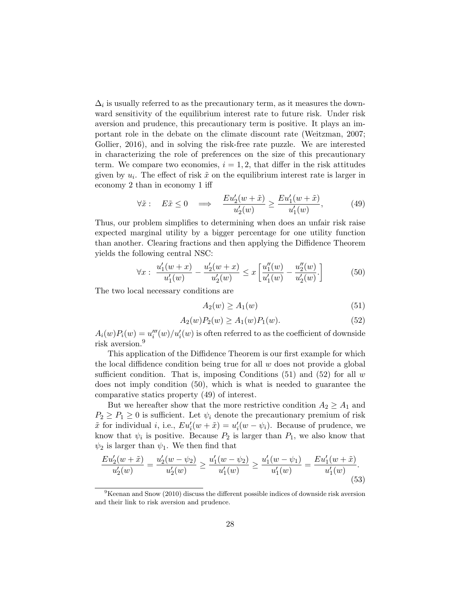$\Delta_i$  is usually referred to as the precautionary term, as it measures the downward sensitivity of the equilibrium interest rate to future risk. Under risk aversion and prudence, this precautionary term is positive. It plays an important role in the debate on the climate discount rate (Weitzman, 2007; Gollier, 2016), and in solving the risk-free rate puzzle. We are interested in characterizing the role of preferences on the size of this precautionary term. We compare two economies,  $i = 1, 2$ , that differ in the risk attitudes given by  $u_i$ . The effect of risk  $\tilde{x}$  on the equilibrium interest rate is larger in economy 2 than in economy 1 iff

$$
\forall \tilde{x}: \quad E\tilde{x} \le 0 \quad \Longrightarrow \quad \frac{Eu_2'(w+\tilde{x})}{u_2'(w)} \ge \frac{Eu_1'(w+\tilde{x})}{u_1'(w)},\tag{49}
$$

Thus, our problem simplifies to determining when does an unfair risk raise expected marginal utility by a bigger percentage for one utility function than another. Clearing fractions and then applying the Diffidence Theorem yields the following central NSC:

$$
\forall x: \ \frac{u_1'(w+x)}{u_1'(w)} - \frac{u_2'(w+x)}{u_2'(w)} \le x \left[ \frac{u_1''(w)}{u_1'(w)} - \frac{u_2''(w)}{u_2'(w)} \right] \tag{50}
$$

The two local necessary conditions are

$$
A_2(w) \ge A_1(w) \tag{51}
$$

$$
A_2(w)P_2(w) \ge A_1(w)P_1(w). \tag{52}
$$

 $A_i(w)P_i(w) = u''_i(w)/u'_i(w)$  is often referred to as the coefficient of downside risk aversion.<sup>9</sup>

This application of the Diffidence Theorem is our first example for which the local diffidence condition being true for all  $w$  does not provide a global sufficient condition. That is, imposing Conditions  $(51)$  and  $(52)$  for all w does not imply condition (50), which is what is needed to guarantee the comparative statics property (49) of interest.

But we hereafter show that the more restrictive condition  $A_2 \geq A_1$  and  $P_2 \ge P_1 \ge 0$  is sufficient. Let  $\psi_i$  denote the precautionary premium of risk  $\tilde{x}$  for individual *i*, i.e.,  $Eu'_i(w + \tilde{x}) = u'_i(w - \psi_i)$ . Because of prudence, we know that  $\psi_i$  is positive. Because  $P_2$  is larger than  $P_1$ , we also know that  $\psi_2$  is larger than  $\psi_1$ . We then find that

$$
\frac{Eu_2'(w+\tilde{x})}{u_2'(w)} = \frac{u_2'(w-\psi_2)}{u_2'(w)} \ge \frac{u_1'(w-\psi_2)}{u_1'(w)} \ge \frac{u_1'(w-\psi_1)}{u_1'(w)} = \frac{Eu_1'(w+\tilde{x})}{u_1'(w)}.
$$
\n(53)

 $9$ Keenan and Snow (2010) discuss the different possible indices of downside risk aversion and their link to risk aversion and prudence.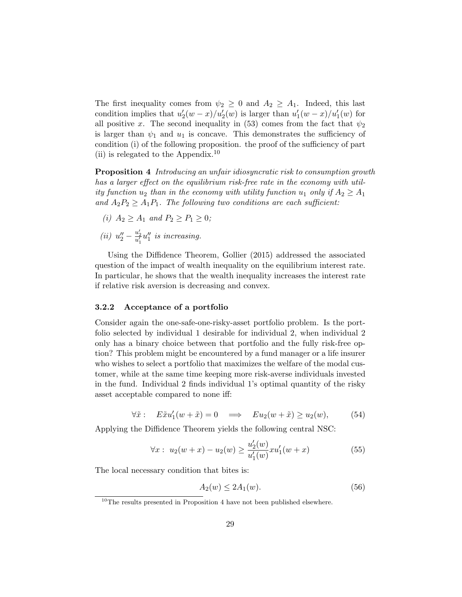The first inequality comes from  $\psi_2 \geq 0$  and  $A_2 \geq A_1$ . Indeed, this last condition implies that  $u_2'(w-x)/u_2'(w)$  is larger than  $u_1'(w-x)/u_1'(w)$  for all positive x. The second inequality in (53) comes from the fact that  $\psi_2$ is larger than  $\psi_1$  and  $u_1$  is concave. This demonstrates the sufficiency of condition (i) of the following proposition. the proof of the sufficiency of part (ii) is relegated to the Appendix.<sup>10</sup>

Proposition 4 Introducing an unfair idiosyncratic risk to consumption growth has a larger effect on the equilibrium risk-free rate in the economy with utility function  $u_2$  than in the economy with utility function  $u_1$  only if  $A_2 \geq A_1$ and  $A_2P_2 \geq A_1P_1$ . The following two conditions are each sufficient:

(i)  $A_2 \ge A_1$  and  $P_2 \ge P_1 \ge 0$ ;

(ii) 
$$
u''_2 - \frac{u'_2}{u'_1}u''_1
$$
 is increasing.

Using the Diffidence Theorem, Gollier (2015) addressed the associated question of the impact of wealth inequality on the equilibrium interest rate. In particular, he shows that the wealth inequality increases the interest rate if relative risk aversion is decreasing and convex.

#### 3.2.2 Acceptance of a portfolio

Consider again the one-safe-one-risky-asset portfolio problem. Is the portfolio selected by individual 1 desirable for individual 2, when individual 2 only has a binary choice between that portfolio and the fully risk-free option? This problem might be encountered by a fund manager or a life insurer who wishes to select a portfolio that maximizes the welfare of the modal customer, while at the same time keeping more risk-averse individuals invested in the fund. Individual 2 finds individual 1's optimal quantity of the risky asset acceptable compared to none iff:

$$
\forall \tilde{x}: \quad E\tilde{x}u_1'(w+\tilde{x})=0 \quad \Longrightarrow \quad Eu_2(w+\tilde{x}) \ge u_2(w), \tag{54}
$$

Applying the Diffidence Theorem yields the following central NSC:

$$
\forall x: \ u_2(w+x) - u_2(w) \ge \frac{u_2'(w)}{u_1'(w)} x u_1'(w+x) \tag{55}
$$

The local necessary condition that bites is:

$$
A_2(w) \le 2A_1(w). \tag{56}
$$

 $10$ The results presented in Proposition 4 have not been published elsewhere.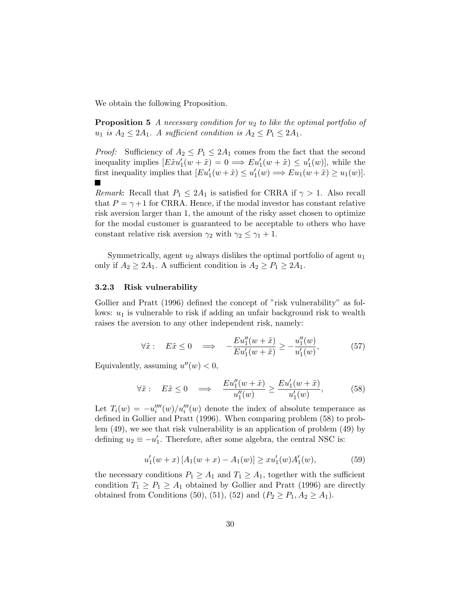We obtain the following Proposition.

**Proposition 5** A necessary condition for  $u_2$  to like the optimal portfolio of  $u_1$  is  $A_2 \leq 2A_1$ . A sufficient condition is  $A_2 \leq P_1 \leq 2A_1$ .

*Proof:* Sufficiency of  $A_2 \leq P_1 \leq 2A_1$  comes from the fact that the second inequality implies  $[E\tilde{x}u'_1(w+\tilde{x})=0 \Longrightarrow Eu'_1(w+\tilde{x}) \leq u'_1(w)],$  while the first inequality implies that  $[Eu'_1(w + \tilde{x}) \le u'_1(w) \Longrightarrow Eu_1(w + \tilde{x}) \ge u_1(w)]$ .

*Remark*: Recall that  $P_1 \leq 2A_1$  is satisfied for CRRA if  $\gamma > 1$ . Also recall that  $P = \gamma + 1$  for CRRA. Hence, if the modal investor has constant relative risk aversion larger than 1, the amount of the risky asset chosen to optimize for the modal customer is guaranteed to be acceptable to others who have constant relative risk aversion  $\gamma_2$  with  $\gamma_2 \leq \gamma_1 + 1$ .

Symmetrically, agent  $u_2$  always dislikes the optimal portfolio of agent  $u_1$ only if  $A_2 \geq 2A_1$ . A sufficient condition is  $A_2 \geq P_1 \geq 2A_1$ .

#### 3.2.3 Risk vulnerability

Gollier and Pratt (1996) defined the concept of "risk vulnerability" as follows:  $u_1$  is vulnerable to risk if adding an unfair background risk to wealth raises the aversion to any other independent risk, namely:

$$
\forall \tilde{x}: \quad E\tilde{x} \le 0 \quad \Longrightarrow \quad -\frac{Eu_1''(w+\tilde{x})}{Eu_1'(w+\tilde{x})} \ge -\frac{u_1''(w)}{u_1'(w)},\tag{57}
$$

Equivalently, assuming  $u''(w) < 0$ ,

$$
\forall \tilde{x}: \quad E\tilde{x} \le 0 \quad \Longrightarrow \quad \frac{Eu_1''(w+\tilde{x})}{u_1''(w)} \ge \frac{Eu_1'(w+\tilde{x})}{u_1'(w)},\tag{58}
$$

Let  $T_i(w) = -u_i^{\prime\prime\prime\prime}(w)/u_i^{\prime\prime\prime}(w)$  denote the index of absolute temperance as defined in Gollier and Pratt (1996). When comparing problem (58) to problem (49), we see that risk vulnerability is an application of problem (49) by defining  $u_2 \equiv -u'_1$ . Therefore, after some algebra, the central NSC is:

$$
u_1'(w+x) [A_1(w+x) - A_1(w)] \ge x u_1'(w) A_1'(w), \tag{59}
$$

the necessary conditions  $P_1 \geq A_1$  and  $T_1 \geq A_1$ , together with the sufficient condition  $T_1 \ge P_1 \ge A_1$  obtained by Gollier and Pratt (1996) are directly obtained from Conditions (50), (51), (52) and  $(P_2 \ge P_1, A_2 \ge A_1)$ .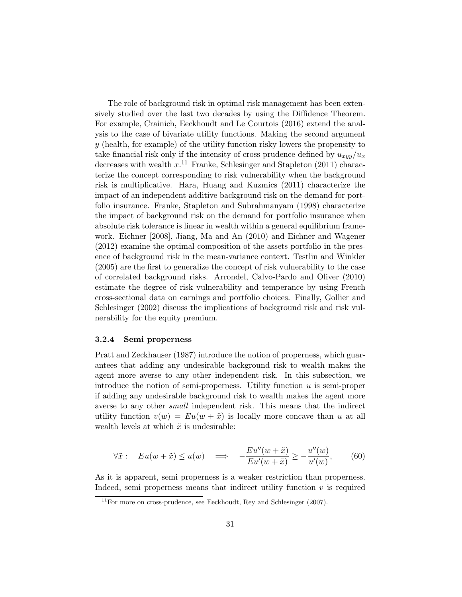The role of background risk in optimal risk management has been extensively studied over the last two decades by using the Diffidence Theorem. For example, Crainich, Eeckhoudt and Le Courtois (2016) extend the analysis to the case of bivariate utility functions. Making the second argument  $y$  (health, for example) of the utility function risky lowers the propensity to take financial risk only if the intensity of cross prudence defined by  $u_{xyy}/u_x$ decreases with wealth  $x$ .<sup>11</sup> Franke, Schlesinger and Stapleton (2011) characterize the concept corresponding to risk vulnerability when the background risk is multiplicative. Hara, Huang and Kuzmics (2011) characterize the impact of an independent additive background risk on the demand for portfolio insurance. Franke, Stapleton and Subrahmanyam (1998) characterize the impact of background risk on the demand for portfolio insurance when absolute risk tolerance is linear in wealth within a general equilibrium framework. Eichner [2008], Jiang, Ma and An (2010) and Eichner and Wagener (2012) examine the optimal composition of the assets portfolio in the presence of background risk in the mean-variance context. Testlin and Winkler (2005) are the first to generalize the concept of risk vulnerability to the case of correlated background risks. Arrondel, Calvo-Pardo and Oliver (2010) estimate the degree of risk vulnerability and temperance by using French cross-sectional data on earnings and portfolio choices. Finally, Gollier and Schlesinger (2002) discuss the implications of background risk and risk vulnerability for the equity premium.

#### 3.2.4 Semi properness

Pratt and Zeckhauser (1987) introduce the notion of properness, which guarantees that adding any undesirable background risk to wealth makes the agent more averse to any other independent risk. In this subsection, we introduce the notion of semi-properness. Utility function  $u$  is semi-proper if adding any undesirable background risk to wealth makes the agent more averse to any other small independent risk. This means that the indirect utility function  $v(w) = Eu(w + \tilde{x})$  is locally more concave than u at all wealth levels at which  $\tilde{x}$  is undesirable:

$$
\forall \tilde{x}: \quad Eu(w + \tilde{x}) \le u(w) \quad \Longrightarrow \quad -\frac{Eu''(w + \tilde{x})}{Eu'(w + \tilde{x})} \ge -\frac{u''(w)}{u'(w)},\tag{60}
$$

As it is apparent, semi properness is a weaker restriction than properness. Indeed, semi properness means that indirect utility function  $v$  is required

 $11$ For more on cross-prudence, see Eeckhoudt, Rey and Schlesinger (2007).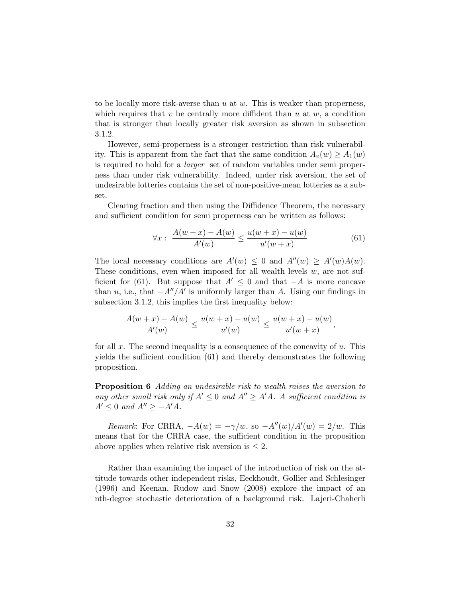to be locally more risk-averse than  $u$  at  $w$ . This is weaker than properness, which requires that v be centrally more diffident than  $u$  at  $w$ , a condition that is stronger than locally greater risk aversion as shown in subsection 3.1.2.

However, semi-properness is a stronger restriction than risk vulnerability. This is apparent from the fact that the same condition  $A_v(w) \ge A_1(w)$ is required to hold for a larger set of random variables under semi properness than under risk vulnerability. Indeed, under risk aversion, the set of undesirable lotteries contains the set of non-positive-mean lotteries as a subset.

Clearing fraction and then using the Diffidence Theorem, the necessary and sufficient condition for semi properness can be written as follows:

$$
\forall x: \ \frac{A(w+x) - A(w)}{A'(w)} \le \frac{u(w+x) - u(w)}{u'(w+x)}
$$
(61)

The local necessary conditions are  $A'(w) \leq 0$  and  $A''(w) \geq A'(w)A(w)$ . These conditions, even when imposed for all wealth levels  $w$ , are not sufficient for (61). But suppose that  $A' \leq 0$  and that  $-A$  is more concave than u, i.e., that  $-A''/A'$  is uniformly larger than A. Using our findings in subsection 3.1.2, this implies the first inequality below:

$$
\frac{A(w+x) - A(w)}{A'(w)} \le \frac{u(w+x) - u(w)}{u'(w)} \le \frac{u(w+x) - u(w)}{u'(w+x)},
$$

for all x. The second inequality is a consequence of the concavity of  $u$ . This yields the sufficient condition (61) and thereby demonstrates the following proposition.

Proposition 6 Adding an undesirable risk to wealth raises the aversion to any other small risk only if  $A' \leq 0$  and  $A'' \geq A'A$ . A sufficient condition is  $A' \leq 0$  and  $A'' \geq -A'A$ .

Remark: For CRRA,  $-A(w) = -\gamma/w$ , so  $-A''(w)/A'(w) = 2/w$ . This means that for the CRRA case, the sufficient condition in the proposition above applies when relative risk aversion is  $\leq 2$ .

Rather than examining the impact of the introduction of risk on the attitude towards other independent risks, Eeckhoudt, Gollier and Schlesinger (1996) and Keenan, Rudow and Snow (2008) explore the impact of an nth-degree stochastic deterioration of a background risk. Lajeri-Chaherli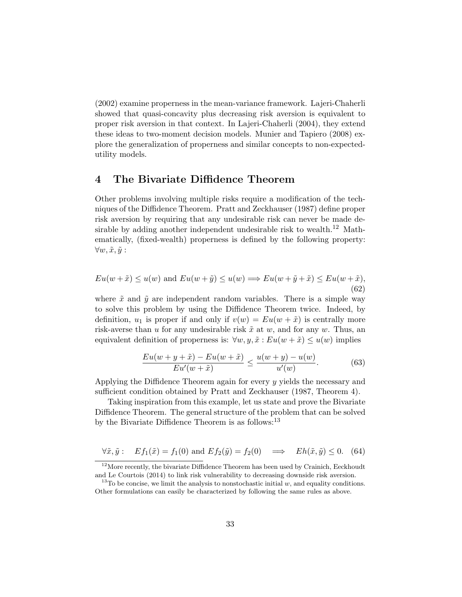(2002) examine properness in the mean-variance framework. Lajeri-Chaherli showed that quasi-concavity plus decreasing risk aversion is equivalent to proper risk aversion in that context. In Lajeri-Chaherli (2004), they extend these ideas to two-moment decision models. Munier and Tapiero (2008) explore the generalization of properness and similar concepts to non-expectedutility models.

# 4 The Bivariate Diffidence Theorem

Other problems involving multiple risks require a modification of the techniques of the Diffidence Theorem. Pratt and Zeckhauser (1987) define proper risk aversion by requiring that any undesirable risk can never be made desirable by adding another independent undesirable risk to wealth.<sup>12</sup> Mathematically, (fixed-wealth) properness is defined by the following property:  $\forall w, \tilde{x}, \tilde{y}$ :

$$
Eu(w + \tilde{x}) \le u(w) \text{ and } Eu(w + \tilde{y}) \le u(w) \Longrightarrow Eu(w + \tilde{y} + \tilde{x}) \le Eu(w + \tilde{x}),
$$
\n(62)

where  $\tilde{x}$  and  $\tilde{y}$  are independent random variables. There is a simple way to solve this problem by using the Diffidence Theorem twice. Indeed, by definition,  $u_1$  is proper if and only if  $v(w) = Eu(w + \tilde{x})$  is centrally more risk-averse than u for any undesirable risk  $\tilde{x}$  at w, and for any w. Thus, an equivalent definition of properness is:  $\forall w, y, \tilde{x} : Eu(w + \tilde{x}) \leq u(w)$  implies

$$
\frac{Eu(w+y+\tilde{x}) - Eu(w+\tilde{x})}{Eu'(w+\tilde{x})} \le \frac{u(w+y) - u(w)}{u'(w)}.
$$
\n(63)

Applying the Diffidence Theorem again for every y yields the necessary and sufficient condition obtained by Pratt and Zeckhauser (1987, Theorem 4).

Taking inspiration from this example, let us state and prove the Bivariate Diffidence Theorem. The general structure of the problem that can be solved by the Bivariate Diffidence Theorem is as follows:<sup>13</sup>

$$
\forall \tilde{x}, \tilde{y} : E f_1(\tilde{x}) = f_1(0) \text{ and } E f_2(\tilde{y}) = f_2(0) \implies Eh(\tilde{x}, \tilde{y}) \le 0. \tag{64}
$$

 $12$ More recently, the bivariate Diffidence Theorem has been used by Crainich, Eeckhoudt and Le Courtois (2014) to link risk vulnerability to decreasing downside risk aversion.

<sup>&</sup>lt;sup>13</sup>To be concise, we limit the analysis to nonstochastic initial  $w$ , and equality conditions. Other formulations can easily be characterized by following the same rules as above.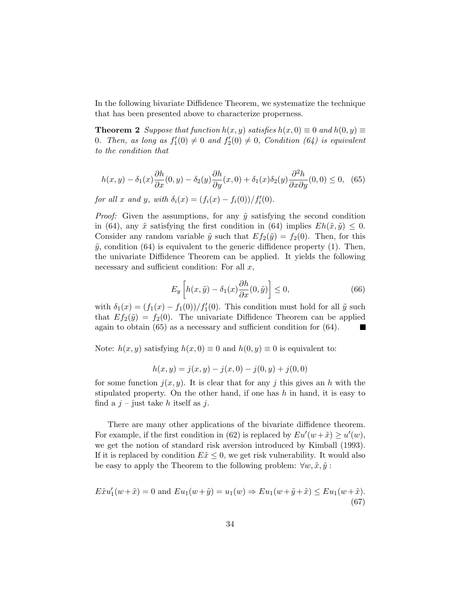In the following bivariate Diffidence Theorem, we systematize the technique that has been presented above to characterize properness.

**Theorem 2** Suppose that function  $h(x, y)$  satisfies  $h(x, 0) \equiv 0$  and  $h(0, y) \equiv 0$ 0. Then, as long as  $f_1'(0) \neq 0$  and  $f_2'(0) \neq 0$ , Condition (64) is equivalent to the condition that

$$
h(x,y) - \delta_1(x)\frac{\partial h}{\partial x}(0,y) - \delta_2(y)\frac{\partial h}{\partial y}(x,0) + \delta_1(x)\delta_2(y)\frac{\partial^2 h}{\partial x \partial y}(0,0) \le 0, \tag{65}
$$

for all x and y, with  $\delta_i(x) = (f_i(x) - f_i(0))/f'_i(0)$ .

*Proof:* Given the assumptions, for any  $\tilde{y}$  satisfying the second condition in (64), any  $\tilde{x}$  satisfying the first condition in (64) implies  $Eh(\tilde{x}, \tilde{y}) \leq 0$ . Consider any random variable  $\tilde{y}$  such that  $Ef_2(\tilde{y}) = f_2(0)$ . Then, for this  $\tilde{y}$ , condition (64) is equivalent to the generic diffidence property (1). Then, the univariate Diffidence Theorem can be applied. It yields the following necessary and sufficient condition: For all  $x$ ,

$$
E_y\left[h(x,\tilde{y}) - \delta_1(x)\frac{\partial h}{\partial x}(0,\tilde{y})\right] \le 0,\tag{66}
$$

with  $\delta_1(x) = (f_1(x) - f_1(0))/f'_1(0)$ . This condition must hold for all  $\tilde{y}$  such that  $Ef_2(\tilde{y}) = f_2(0)$ . The univariate Diffidence Theorem can be applied again to obtain (65) as a necessary and sufficient condition for (64). **In the Second Service** 

Note:  $h(x, y)$  satisfying  $h(x, 0) \equiv 0$  and  $h(0, y) \equiv 0$  is equivalent to:

$$
h(x, y) = j(x, y) - j(x, 0) - j(0, y) + j(0, 0)
$$

for some function  $j(x, y)$ . It is clear that for any j this gives an h with the stipulated property. On the other hand, if one has  $h$  in hand, it is easy to find a  $j$  – just take h itself as j.

There are many other applications of the bivariate diffidence theorem. For example, if the first condition in (62) is replaced by  $Eu'(w + \tilde{x}) \ge u'(w)$ , we get the notion of standard risk aversion introduced by Kimball (1993). If it is replaced by condition  $E\tilde{x} \leq 0$ , we get risk vulnerability. It would also be easy to apply the Theorem to the following problem:  $\forall w, \tilde{x}, \tilde{y}$ :

$$
E\tilde{x}u'_1(w+\tilde{x}) = 0 \text{ and } Eu_1(w+\tilde{y}) = u_1(w) \Rightarrow Eu_1(w+\tilde{y}+\tilde{x}) \le Eu_1(w+\tilde{x}).
$$
\n(67)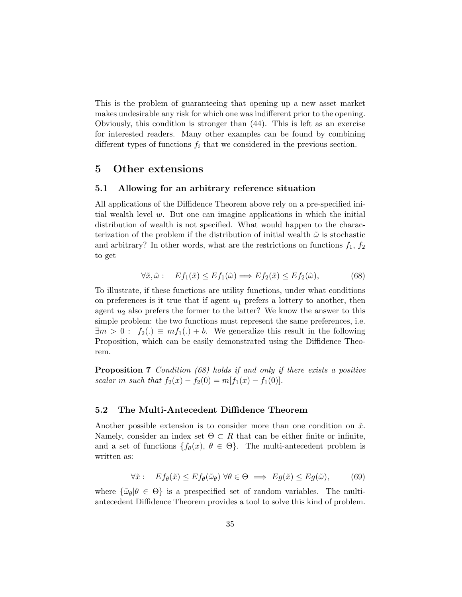This is the problem of guaranteeing that opening up a new asset market makes undesirable any risk for which one was indifferent prior to the opening. Obviously, this condition is stronger than (44). This is left as an exercise for interested readers. Many other examples can be found by combining different types of functions  $f_i$  that we considered in the previous section.

# 5 Other extensions

#### 5.1 Allowing for an arbitrary reference situation

All applications of the Diffidence Theorem above rely on a pre-specified initial wealth level  $w$ . But one can imagine applications in which the initial distribution of wealth is not specified. What would happen to the characterization of the problem if the distribution of initial wealth  $\tilde{\omega}$  is stochastic and arbitrary? In other words, what are the restrictions on functions  $f_1, f_2$ to get

$$
\forall \tilde{x}, \tilde{\omega} : E f_1(\tilde{x}) \le Ef_1(\tilde{\omega}) \Longrightarrow Ef_2(\tilde{x}) \le Ef_2(\tilde{\omega}), \tag{68}
$$

To illustrate, if these functions are utility functions, under what conditions on preferences is it true that if agent  $u_1$  prefers a lottery to another, then agent  $u_2$  also prefers the former to the latter? We know the answer to this simple problem: the two functions must represent the same preferences, i.e.  $\exists m > 0 : f_2(.) \equiv mf_1(.) + b$ . We generalize this result in the following Proposition, which can be easily demonstrated using the Diffidence Theorem.

Proposition 7 Condition (68) holds if and only if there exists a positive scalar m such that  $f_2(x) - f_2(0) = m[f_1(x) - f_1(0)].$ 

### 5.2 The Multi-Antecedent Diffidence Theorem

Another possible extension is to consider more than one condition on  $\tilde{x}$ . Namely, consider an index set  $\Theta \subset R$  that can be either finite or infinite, and a set of functions  $\{f_{\theta}(x), \theta \in \Theta\}$ . The multi-antecedent problem is written as:

$$
\forall \tilde{x}: \quad Ef_{\theta}(\tilde{x}) \le Ef_{\theta}(\tilde{\omega}_{\theta}) \,\forall \theta \in \Theta \implies Eg(\tilde{x}) \le Eg(\tilde{\omega}),\tag{69}
$$

where  $\{\tilde{\omega}_{\theta}|\theta \in \Theta\}$  is a prespecified set of random variables. The multiantecedent Diffidence Theorem provides a tool to solve this kind of problem.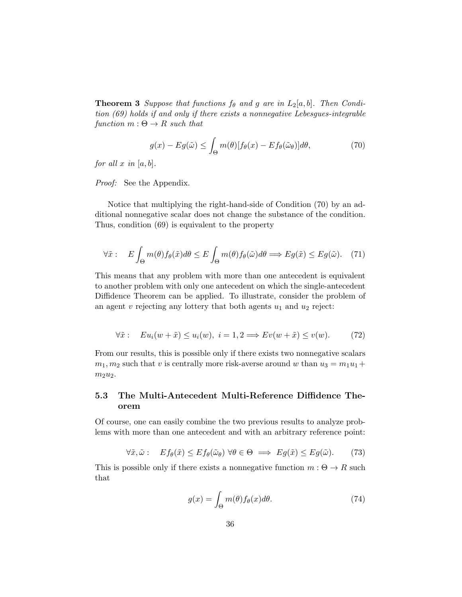**Theorem 3** Suppose that functions  $f_{\theta}$  and g are in  $L_2[a, b]$ . Then Condition (69) holds if and only if there exists a nonnegative Lebesgues-integrable function  $m : \Theta \to R$  such that

$$
g(x) - Eg(\tilde{\omega}) \le \int_{\Theta} m(\theta)[f_{\theta}(x) - Ef_{\theta}(\tilde{\omega}_{\theta})]d\theta, \tag{70}
$$

for all  $x$  in [a, b].

Proof: See the Appendix.

Notice that multiplying the right-hand-side of Condition (70) by an additional nonnegative scalar does not change the substance of the condition. Thus, condition (69) is equivalent to the property

$$
\forall \tilde{x}: \quad E \int_{\Theta} m(\theta) f_{\theta}(\tilde{x}) d\theta \le E \int_{\Theta} m(\theta) f_{\theta}(\tilde{\omega}) d\theta \Longrightarrow Eg(\tilde{x}) \le Eg(\tilde{\omega}). \tag{71}
$$

This means that any problem with more than one antecedent is equivalent to another problem with only one antecedent on which the single-antecedent Diffidence Theorem can be applied. To illustrate, consider the problem of an agent  $v$  rejecting any lottery that both agents  $u_1$  and  $u_2$  reject:

$$
\forall \tilde{x}: \quad Eu_i(w + \tilde{x}) \le u_i(w), \ i = 1, 2 \Longrightarrow Ev(w + \tilde{x}) \le v(w). \tag{72}
$$

From our results, this is possible only if there exists two nonnegative scalars  $m_1, m_2$  such that v is centrally more risk-averse around w than  $u_3 = m_1u_1 +$  $m_2u_2$ .

# 5.3 The Multi-Antecedent Multi-Reference Diffidence Theorem

Of course, one can easily combine the two previous results to analyze problems with more than one antecedent and with an arbitrary reference point:

$$
\forall \tilde{x}, \tilde{\omega} : E f_{\theta}(\tilde{x}) \le Ef_{\theta}(\tilde{\omega}_{\theta}) \,\forall \theta \in \Theta \implies Eg(\tilde{x}) \le Eg(\tilde{\omega}).\tag{73}
$$

This is possible only if there exists a nonnegative function  $m : \Theta \to R$  such that

$$
g(x) = \int_{\Theta} m(\theta) f_{\theta}(x) d\theta.
$$
 (74)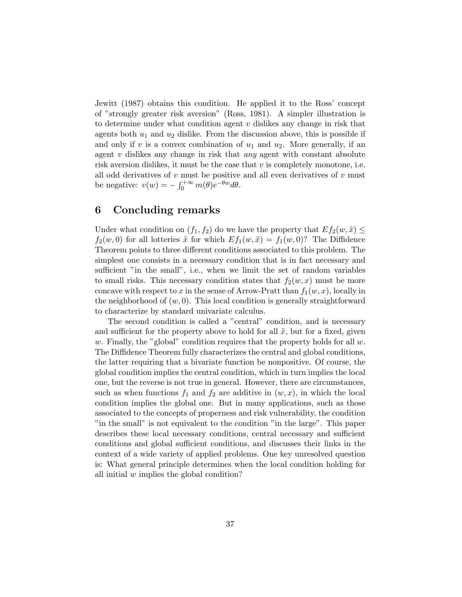Jewitt (1987) obtains this condition. He applied it to the Ross' concept of "strongly greater risk aversion" (Ross, 1981). A simpler illustration is to determine under what condition agent  $v$  dislikes any change in risk that agents both  $u_1$  and  $u_2$  dislike. From the discussion above, this is possible if and only if v is a convex combination of  $u_1$  and  $u_2$ . More generally, if an agent  $v$  dislikes any change in risk that *any* agent with constant absolute risk aversion dislikes, it must be the case that  $v$  is completely monotone, i.e. all odd derivatives of  $v$  must be positive and all even derivatives of  $v$  must be negative:  $v(w) = -\int_0^{+\infty} m(\theta) e^{-\theta w} d\theta$ .

# 6 Concluding remarks

Under what condition on  $(f_1, f_2)$  do we have the property that  $Ef_2(w, \tilde{x}) \leq$  $f_2(w, 0)$  for all lotteries  $\tilde{x}$  for which  $Ef_1(w, \tilde{x}) = f_1(w, 0)$ ? The Diffidence Theorem points to three different conditions associated to this problem. The simplest one consists in a necessary condition that is in fact necessary and sufficient "in the small", i.e., when we limit the set of random variables to small risks. This necessary condition states that  $f_2(w, x)$  must be more concave with respect to x in the sense of Arrow-Pratt than  $f_1(w, x)$ , locally in the neighborhood of  $(w, 0)$ . This local condition is generally straightforward to characterize by standard univariate calculus.

The second condition is called a "central" condition, and is necessary and sufficient for the property above to hold for all  $\tilde{x}$ , but for a fixed, given w. Finally, the "global" condition requires that the property holds for all  $w$ . The Diffidence Theorem fully characterizes the central and global conditions, the latter requiring that a bivariate function be nonpositive. Of course, the global condition implies the central condition, which in turn implies the local one, but the reverse is not true in general. However, there are circumstances, such as when functions  $f_1$  and  $f_2$  are additive in  $(w, x)$ , in which the local condition implies the global one. But in many applications, such as those associated to the concepts of properness and risk vulnerability, the condition "in the small" is not equivalent to the condition "in the large". This paper describes these local necessary conditions, central necessary and sufficient conditions and global sufficient conditions, and discusses their links in the context of a wide variety of applied problems. One key unresolved question is: What general principle determines when the local condition holding for all initial w implies the global condition?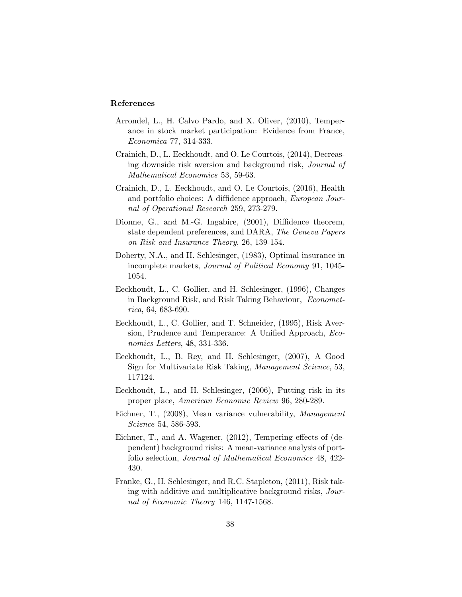#### References

- Arrondel, L., H. Calvo Pardo, and X. Oliver, (2010), Temperance in stock market participation: Evidence from France, Economica 77, 314-333.
- Crainich, D., L. Eeckhoudt, and O. Le Courtois, (2014), Decreasing downside risk aversion and background risk, Journal of Mathematical Economics 53, 59-63.
- Crainich, D., L. Eeckhoudt, and O. Le Courtois, (2016), Health and portfolio choices: A diffidence approach, European Journal of Operational Research 259, 273-279.
- Dionne, G., and M.-G. Ingabire, (2001), Diffidence theorem, state dependent preferences, and DARA, The Geneva Papers on Risk and Insurance Theory, 26, 139-154.
- Doherty, N.A., and H. Schlesinger, (1983), Optimal insurance in incomplete markets, Journal of Political Economy 91, 1045- 1054.
- Eeckhoudt, L., C. Gollier, and H. Schlesinger, (1996), Changes in Background Risk, and Risk Taking Behaviour, Econometrica, 64, 683-690.
- Eeckhoudt, L., C. Gollier, and T. Schneider, (1995), Risk Aversion, Prudence and Temperance: A Unified Approach, Economics Letters, 48, 331-336.
- Eeckhoudt, L., B. Rey, and H. Schlesinger, (2007), A Good Sign for Multivariate Risk Taking, Management Science, 53, 117124.
- Eeckhoudt, L., and H. Schlesinger, (2006), Putting risk in its proper place, American Economic Review 96, 280-289.
- Eichner, T., (2008), Mean variance vulnerability, Management Science 54, 586-593.
- Eichner, T., and A. Wagener, (2012), Tempering effects of (dependent) background risks: A mean-variance analysis of portfolio selection, Journal of Mathematical Economics 48, 422- 430.
- Franke, G., H. Schlesinger, and R.C. Stapleton, (2011), Risk taking with additive and multiplicative background risks, Journal of Economic Theory 146, 1147-1568.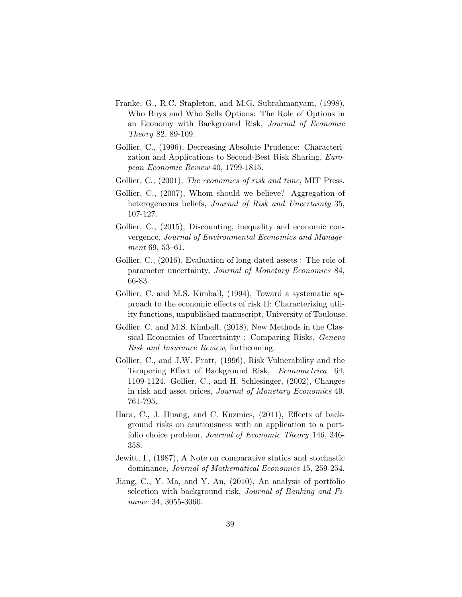- Franke, G., R.C. Stapleton, and M.G. Subrahmanyam, (1998), Who Buys and Who Sells Options: The Role of Options in an Economy with Background Risk, Journal of Economic Theory 82, 89-109.
- Gollier, C., (1996), Decreasing Absolute Prudence: Characterization and Applications to Second-Best Risk Sharing, European Economic Review 40, 1799-1815.
- Gollier, C., (2001), The economics of risk and time, MIT Press.
- Gollier, C., (2007), Whom should we believe? Aggregation of heterogeneous beliefs, Journal of Risk and Uncertainty 35, 107-127.
- Gollier, C., (2015), Discounting, inequality and economic convergence, Journal of Environmental Economics and Management 69, 53–61.
- Gollier, C., (2016), Evaluation of long-dated assets : The role of parameter uncertainty, Journal of Monetary Economics 84, 66-83.
- Gollier, C. and M.S. Kimball, (1994), Toward a systematic approach to the economic effects of risk II: Characterizing utility functions, unpublished manuscript, University of Toulouse.
- Gollier, C. and M.S. Kimball, (2018), New Methods in the Classical Economics of Uncertainty : Comparing Risks, Geneva Risk and Insurance Review, forthcoming.
- Gollier, C., and J.W. Pratt, (1996), Risk Vulnerability and the Tempering Effect of Background Risk, Econometrica 64, 1109-1124. Gollier, C., and H. Schlesinger, (2002), Changes in risk and asset prices, Journal of Monetary Economics 49, 761-795.
- Hara, C., J. Huang, and C. Kuzmics, (2011), Effects of background risks on cautiousness with an application to a portfolio choice problem, Journal of Economic Theory 146, 346- 358.
- Jewitt, I., (1987), A Note on comparative statics and stochastic dominance, Journal of Mathematical Economics 15, 259-254.
- Jiang, C., Y. Ma, and Y. An, (2010), An analysis of portfolio selection with background risk, Journal of Banking and Finance 34, 3055-3060.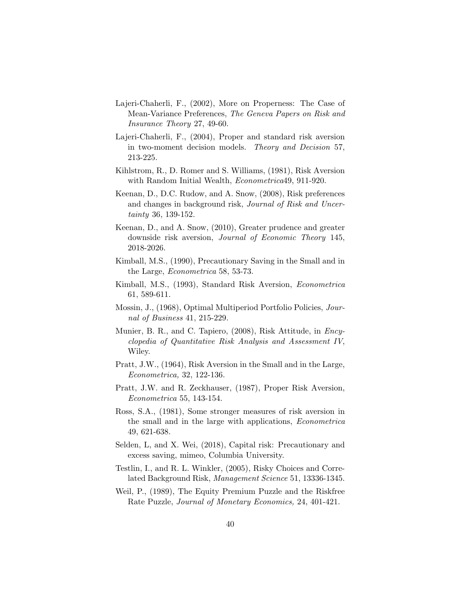- Lajeri-Chaherli, F., (2002), More on Properness: The Case of Mean-Variance Preferences, The Geneva Papers on Risk and Insurance Theory 27, 49-60.
- Lajeri-Chaherli, F., (2004), Proper and standard risk aversion in two-moment decision models. Theory and Decision 57, 213-225.
- Kihlstrom, R., D. Romer and S. Williams, (1981), Risk Aversion with Random Initial Wealth, Econometrica49, 911-920.
- Keenan, D., D.C. Rudow, and A. Snow, (2008), Risk preferences and changes in background risk, Journal of Risk and Uncertainty 36, 139-152.
- Keenan, D., and A. Snow, (2010), Greater prudence and greater downside risk aversion, Journal of Economic Theory 145, 2018-2026.
- Kimball, M.S., (1990), Precautionary Saving in the Small and in the Large, Econometrica 58, 53-73.
- Kimball, M.S., (1993), Standard Risk Aversion, Econometrica 61, 589-611.
- Mossin, J., (1968), Optimal Multiperiod Portfolio Policies, Journal of Business 41, 215-229.
- Munier, B. R., and C. Tapiero, (2008), Risk Attitude, in *Ency*clopedia of Quantitative Risk Analysis and Assessment IV, Wiley.
- Pratt, J.W., (1964), Risk Aversion in the Small and in the Large, Econometrica, 32, 122-136.
- Pratt, J.W. and R. Zeckhauser, (1987), Proper Risk Aversion, Econometrica 55, 143-154.
- Ross, S.A., (1981), Some stronger measures of risk aversion in the small and in the large with applications, Econometrica 49, 621-638.
- Selden, L, and X. Wei, (2018), Capital risk: Precautionary and excess saving, mimeo, Columbia University.
- Testlin, I., and R. L. Winkler, (2005), Risky Choices and Correlated Background Risk, Management Science 51, 13336-1345.
- Weil, P., (1989), The Equity Premium Puzzle and the Riskfree Rate Puzzle, Journal of Monetary Economics, 24, 401-421.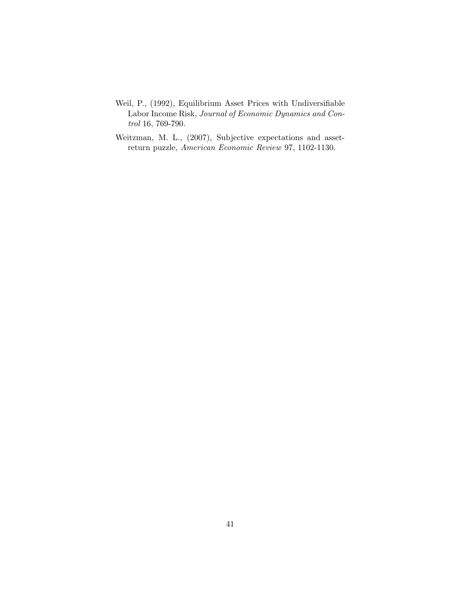- Weil, P., (1992), Equilibrium Asset Prices with Undiversifiable Labor Income Risk, Journal of Economic Dynamics and Control 16, 769-790.
- Weitzman, M. L., (2007), Subjective expectations and assetreturn puzzle, American Economic Review 97, 1102-1130.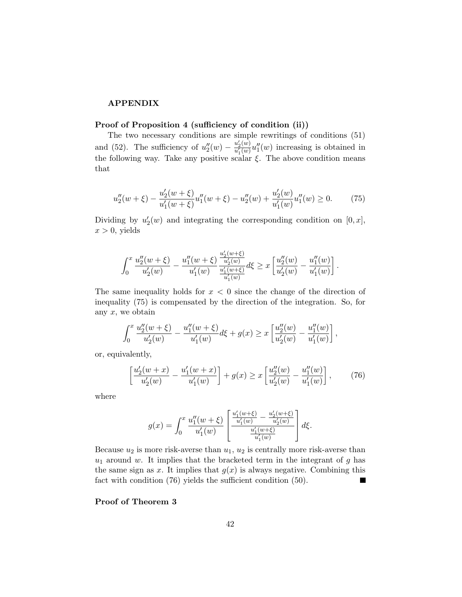#### APPENDIX

#### Proof of Proposition 4 (sufficiency of condition (ii))

The two necessary conditions are simple rewritings of conditions (51) and (52). The sufficiency of  $u''_2(w) - \frac{u'_2(w)}{u'_1(w)}$  $\frac{u_2(w)}{u_1'(w)}u_1''(w)$  increasing is obtained in the following way. Take any positive scalar  $\xi$ . The above condition means that

$$
u_2''(w+\xi) - \frac{u_2'(w+\xi)}{u_1'(w+\xi)}u_1''(w+\xi) - u_2''(w) + \frac{u_2'(w)}{u_1'(w)}u_1''(w) \ge 0.
$$
 (75)

Dividing by  $u_2'(w)$  and integrating the corresponding condition on  $[0, x]$ ,  $x > 0$ , yields

$$
\int_0^x \frac{u_2''(w+\xi)}{u_2'(w)} - \frac{u_1''(w+\xi)}{u_1'(w)} \frac{\frac{u_2'(w+\xi)}{u_2'(w)}}{\frac{u_1'(w+\xi)}{u_1'(w)}} d\xi \ge x \left[ \frac{u_2''(w)}{u_2'(w)} - \frac{u_1''(w)}{u_1'(w)} \right].
$$

The same inequality holds for  $x < 0$  since the change of the direction of inequality (75) is compensated by the direction of the integration. So, for any  $x$ , we obtain

$$
\int_0^x \frac{u''_2(w+\xi)}{u'_2(w)} - \frac{u''_1(w+\xi)}{u'_1(w)} d\xi + g(x) \ge x \left[ \frac{u''_2(w)}{u'_2(w)} - \frac{u''_1(w)}{u'_1(w)} \right],
$$

or, equivalently,

$$
\left[\frac{u_2'(w+x)}{u_2'(w)} - \frac{u_1'(w+x)}{u_1'(w)}\right] + g(x) \ge x \left[\frac{u_2''(w)}{u_2'(w)} - \frac{u_1''(w)}{u_1'(w)}\right],\tag{76}
$$

where

$$
g(x) = \int_0^x \frac{u_1''(w+\xi)}{u_1'(w)} \left[ \frac{\frac{u_1'(w+\xi)}{u_1'(w)} - \frac{u_2'(w+\xi)}{u_2'(w)}}{\frac{u_1'(w+\xi)}{u_1'(w)}} \right] d\xi.
$$

Because  $u_2$  is more risk-averse than  $u_1, u_2$  is centrally more risk-averse than  $u_1$  around w. It implies that the bracketed term in the integrant of g has the same sign as x. It implies that  $g(x)$  is always negative. Combining this fact with condition (76) yields the sufficient condition (50).

#### Proof of Theorem 3